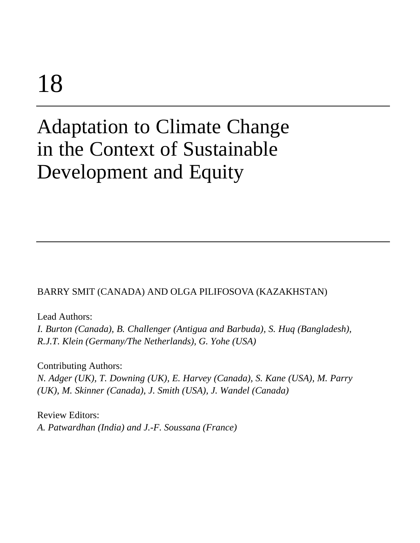# 18

# Adaptation to Climate Change in the Context of Sustainable Development and Equity

# BARRY SMIT (CANADA) AND OLGA PILIFOSOVA (KAZAKHSTAN)

Lead Authors:

*I. Burton (Canada), B. Challenger (Antigua and Barbuda), S. Huq (Bangladesh), R.J.T. Klein (Germany/The Netherlands), G. Yohe (USA)*

Contributing Authors: *N. Adger (UK), T. Downing (UK), E. Harvey (Canada), S. Kane (USA), M. Parry (UK), M. Skinner (Canada), J. Smith (USA), J. Wandel (Canada)*

Review Editors: *A. Patwardhan (India) and J.-F. Soussana (France)*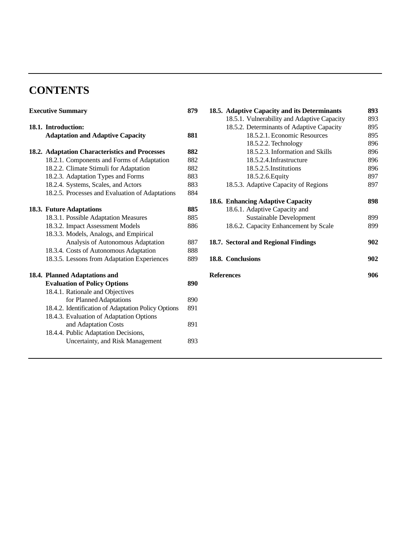# **CONTENTS**

| <b>Executive Summary</b>                                       | 879 |
|----------------------------------------------------------------|-----|
| 18.1. Introduction:<br><b>Adaptation and Adaptive Capacity</b> | 881 |
| 18.2. Adaptation Characteristics and Processes                 | 882 |
| 18.2.1. Components and Forms of Adaptation                     | 882 |
| 18.2.2. Climate Stimuli for Adaptation                         | 882 |
| 18.2.3. Adaptation Types and Forms                             | 883 |
| 18.2.4. Systems, Scales, and Actors                            | 883 |
| 18.2.5. Processes and Evaluation of Adaptations                | 884 |
| 18.3. Future Adaptations                                       | 885 |
| 18.3.1. Possible Adaptation Measures                           | 885 |
| 18.3.2. Impact Assessment Models                               | 886 |
| 18.3.3. Models, Analogs, and Empirical                         |     |
| Analysis of Autonomous Adaptation                              | 887 |
| 18.3.4. Costs of Autonomous Adaptation                         | 888 |
| 18.3.5. Lessons from Adaptation Experiences                    | 889 |
| 18.4. Planned Adaptations and                                  |     |
| <b>Evaluation of Policy Options</b>                            | 890 |
| 18.4.1. Rationale and Objectives                               |     |
| for Planned Adaptations                                        | 890 |
| 18.4.2. Identification of Adaptation Policy Options            | 891 |
| 18.4.3. Evaluation of Adaptation Options                       |     |
| and Adaptation Costs                                           | 891 |
| 18.4.4. Public Adaptation Decisions,                           |     |
| Uncertainty, and Risk Management                               | 893 |

| 18.5. Adaptive Capacity and its Determinants | 893 |
|----------------------------------------------|-----|
| 18.5.1. Vulnerability and Adaptive Capacity  | 893 |
| 18.5.2. Determinants of Adaptive Capacity    | 895 |
| 18.5.2.1. Economic Resources                 | 895 |
| $18.5.2.2$ . Technology                      | 896 |
| 18.5.2.3. Information and Skills             | 896 |
| 18.5.2.4. Infrastructure                     | 896 |
| 18.5.2.5. Institutions                       | 896 |
| 18.5.2.6. Equity                             | 897 |
| 18.5.3. Adaptive Capacity of Regions         | 897 |
| 18.6. Enhancing Adaptive Capacity            | 898 |
| 18.6.1. Adaptive Capacity and                |     |
| Sustainable Development                      | 899 |
| 18.6.2. Capacity Enhancement by Scale        | 899 |
| 18.7. Sectoral and Regional Findings         | 902 |
| 18.8. Conclusions                            | 902 |
| <b>References</b>                            | 906 |
|                                              |     |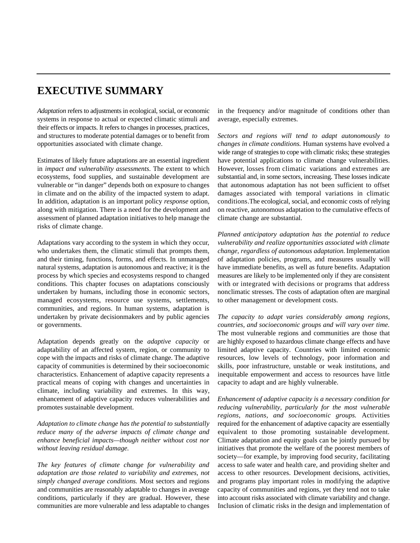# **EXECUTIVE SUMMARY**

*Adaptation* refers to adjustments in ecological, social, or economic systems in response to actual or expected climatic stimuli and their effects or impacts. It refers to changes in processes, practices, and structures to moderate potential damages or to benefit from opportunities associated with climate change.

Estimates of likely future adaptations are an essential ingredient in *impact and vulnerability assessments*. The extent to which ecosystems, food supplies, and sustainable development are vulnerable or "in danger" depends both on exposure to changes in climate and on the ability of the impacted system to adapt. In addition, adaptation is an important policy *response* option, along with mitigation. There is a need for the development and assessment of planned adaptation initiatives to help manage the risks of climate change.

Adaptations vary according to the system in which they occur, who undertakes them, the climatic stimuli that prompts them, and their timing, functions, forms, and effects. In unmanaged natural systems, adaptation is autonomous and reactive; it is the process by which species and ecosystems respond to changed conditions. This chapter focuses on adaptations consciously undertaken by humans, including those in economic sectors, managed ecosystems, resource use systems, settlements, communities, and regions. In human systems, adaptation is undertaken by private decisionmakers and by public agencies or governments.

Adaptation depends greatly on the *adaptive capacity* or adaptability of an affected system, region, or community to cope with the impacts and risks of climate change. The adaptive capacity of communities is determined by their socioeconomic characteristics. Enhancement of adaptive capacity represents a practical means of coping with changes and uncertainties in climate, including variability and extremes. In this way, enhancement of adaptive capacity reduces vulnerabilities and promotes sustainable development.

*Adaptation to climate change has the potential to substantially reduce many of the adverse impacts of climate change and enhance beneficial impacts—though neither without cost nor without leaving residual damage.* 

*The key features of climate change for vulnerability and adaptation are those related to variability and extremes, not simply changed average conditions.* Most sectors and regions and communities are reasonably adaptable to changes in average conditions, particularly if they are gradual. However, these communities are more vulnerable and less adaptable to changes in the frequency and/or magnitude of conditions other than average, especially extremes.

*Sectors and regions will tend to adapt autonomously to changes in climate conditions.* Human systems have evolved a wide range of strategies to cope with climatic risks; these strategies have potential applications to climate change vulnerabilities. However, losses from climatic variations and extremes are substantial and, in some sectors, increasing. These losses indicate that autonomous adaptation has not been sufficient to offset damages associated with temporal variations in climatic conditions. The ecological, social, and economic costs of relying on reactive, autonomous adaptation to the cumulative effects of climate change are substantial.

*Planned anticipatory adaptation has the potential to reduce vulnerability and realize opportunities associated with climate change, regardless of autonomous adaptation.* Implementation of adaptation policies, programs, and measures usually will have immediate benefits, as well as future benefits. Adaptation measures are likely to be implemented only if they are consistent with or integrated with decisions or programs that address n onclimatic stresses. The costs of adaptation often are marginal to other management or development costs.

*The capacity to adapt varies considerably among regions, countries, and socioeconomic groups and will vary over time.* The most vulnerable regions and communities are those that are highly exposed to hazardous climate change effects and have limited adaptive capacity. Countries with limited economic resources, low levels of technology, poor information and skills, poor infrastructure, unstable or weak institutions, and inequitable empowerment and access to resources have little capacity to adapt and are highly vulnerable.

*Enhancement of adaptive capacity is a necessary condition for reducing vulnerability, particularly for the most vulnerable regions, nations, and socioeconomic groups.* Activities required for the enhancement of adaptive capacity are essentially equivalent to those promoting sustainable development. Climate adaptation and equity goals can be jointly pursued by initiatives that promote the welfare of the poorest members of society—for example, by improving food security, facilitating access to safe water and health care, and providing shelter and access to other resources. Development decisions, activities, and programs play important roles in modifying the adaptive capacity of communities and regions, yet they tend not to take into account risks associated with climate variability and change. Inclusion of climatic risks in the design and implementation of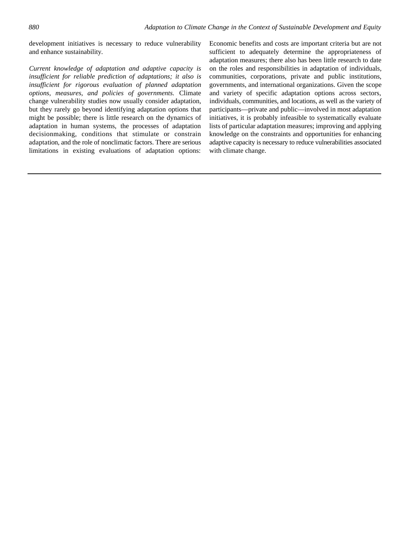development initiatives is necessary to reduce vulnerability and enhance sustainability.

*Current knowledge of adaptation and adaptive capacity is insufficient for reliable prediction of adaptations; it also is insufficient for rigorous evaluation of planned adaptation options, measures, and policies of governments.* Climate change vulnerability studies now usually consider adaptation, but they rarely go beyond identifying adaptation options that might be possible; there is little research on the dynamics of adaptation in human systems, the processes of adaptation decisionmaking, conditions that stimulate or constrain adaptation, and the role of nonclimatic factors. There are serious limitations in existing evaluations of adaptation options: Economic benefits and costs are important criteria but are not sufficient to adequately determine the appropriateness of adaptation measures; there also has been little research to date on the roles and responsibilities in adaptation of individuals, communities, corporations, private and public institutions, governments, and international organizations. Given the scope and variety of specific adaptation options across sectors, individuals, communities, and locations, as well as the variety of participants—private and public—involved in most adaptation initiatives, it is probably infeasible to systematically evaluate lists of particular adaptation measures; improving and applying knowledge on the constraints and opportunities for enhancing adaptive capacity is necessary to reduce vulnerabilities associated with climate change.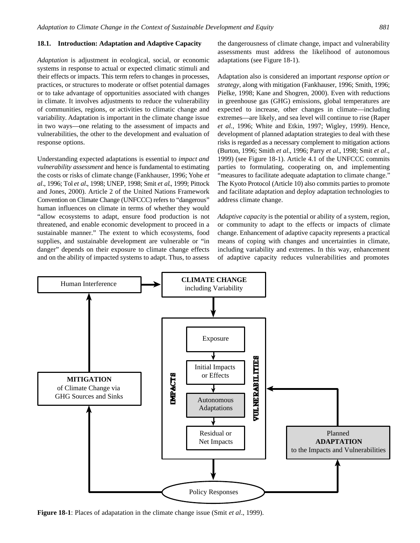# **18.1. Introduction: Adaptation and Adaptive Capacity**

*Adaptation* is adjustment in ecological, social, or economic systems in response to actual or expected climatic stimuli and their effects or impacts. This term refers to changes in processes, practices, or structures to moderate or offset potential damages or to take advantage of opportunities associated with changes in climate. It involves adjustments to reduce the vulnerability of communities, regions, or activities to climatic change and variability. Adaptation is important in the climate change issue in two ways—one relating to the assessment of impacts and vulnerabilities, the other to the development and evaluation of response options.

Understanding expected adaptations is essential to *impact and vulnerability assessment* and hence is fundamental to estimating the costs or risks of climate change (Fankhauser, 1996; Yohe *et a l*., 1996; Tol *et al.*, 1998; UNEP, 1998; Smit *et al*., 1999; Pittock and Jones, 2000). Article 2 of the United Nations Framework Convention on Climate Change (UNFCCC) refers to "dangerous" human influences on climate in terms of whether they would "allow ecosystems to adapt, ensure food production is not threatened, and enable economic development to proceed in a sustainable manner." The extent to which ecosystems, food supplies, and sustainable development are vulnerable or "in danger" depends on their exposure to climate change effects and on the ability of impacted systems to adapt. Thus, to assess

the dangerousness of climate change, impact and vulnerability assessments must address the likelihood of autonomous adaptations (see Figure 18-1).

Adaptation also is considered an important *response option or strategy*, along with mitigation (Fankhauser, 1996; Smith, 1996; Pielke, 1998; Kane and Shogren, 2000). Even with reductions in greenhouse gas (GHG) emissions, global temperatures are expected to increase, other changes in climate—including extremes—are likely, and sea level will continue to rise (Raper *et al.*, 1996; White and Etkin, 1997; Wigley, 1999). Hence, development of planned adaptation strategies to deal with these risks is regarded as a necessary complement to mitigation actions (Burton, 1996; Smith *et al.*, 1996; Parry *et al.*, 1998; Smit *et al*., 1999) (see Figure 18-1). Article 4.1 of the UNFCCC commits parties to formulating, cooperating on, and implementing "measures to facilitate adequate adaptation to climate change." The Kyoto Protocol (Article 10) also commits parties to promote and facilitate adaptation and deploy adaptation technologies to address climate change.

*Adaptive capacity* is the potential or ability of a system, region, or community to adapt to the effects or impacts of climate change. Enhancement of adaptive capacity represents a practical means of coping with changes and uncertainties in climate, including variability and extremes. In this way, enhancement of adaptive capacity reduces vulnerabilities and promotes



**Figure 18-1**: Places of adapatation in the climate change issue (Smit *et al*., 1999).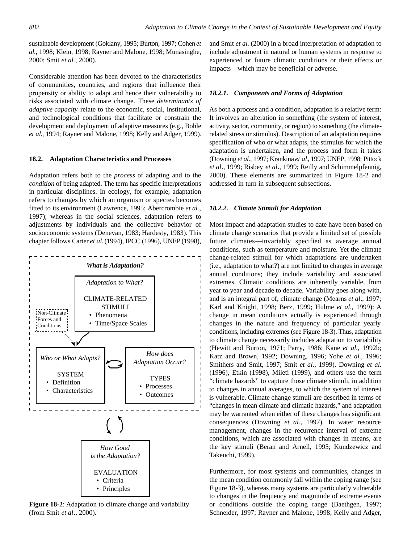sustainable development (Goklany, 1995; Burton, 1997; Cohen et al., 1998; Klein, 1998; Rayner and Malone, 1998; Munasinghe, 2000; Smit *et al.*, 2000).

Considerable attention has been devoted to the characteristics of communities, countries, and regions that influence their propensity or ability to adapt and hence their vulnerability to risks associated with climate change. These *determinants of adaptive capacity* relate to the economic, social, institutional, and technological conditions that facilitate or constrain the development and deployment of adaptive measures (e.g., Bohle *et al.*, 1994; Rayner and Malone, 1998; Kelly and Adger, 1999).

# **18.2. Adaptation Characteristics and Processes**

Adaptation refers both to the *process* of adapting and to the *condition* of being adapted. The term has specific interpretations in particular disciplines. In ecology, for example, adaptation refers to changes by which an organism or species becomes fitted to its environment (Lawrence, 1995; Abercrombie et al., 1997); whereas in the social sciences, adaptation refers to adjustments by individuals and the collective behavior of socioeconomic systems (Denevan, 1983; Hardesty, 1983). This chapter follows Carter *et al.* (1994), IPCC (1996), UNEP (1998),



**Figure 18-2**: Adaptation to climate change and variability (from Smit *et al*., 2000).

and Smit *et al.* (2000) in a broad interpretation of adaptation to include adjustment in natural or human systems in response to experienced or future climatic conditions or their effects or impacts—which may be beneficial or adverse.

#### *18.2.1. Components and Forms of Adaptation*

As both a process and a condition, adaptation is a relative term: It involves an alteration in something (the system of interest, activity, sector, community, or region) to something (the climaterelated stress or stimulus). Description of an adaptation requires specification of who or what adapts, the stimulus for which the adaptation is undertaken, and the process and form it takes (Downing *et al.*, 1997; Krankina *et al*., 1997; UNEP, 1998; Pittock *et al*., 1999; Risbey *et al*., 1999; Reilly and Schimmelpfennig, 2000). These elements are summarized in Figure 18-2 and addressed in turn in subsequent subsections.

#### *18.2.2. Climate Stimuli for Adaptation*

Most impact and adaptation studies to date have been based on climate change scenarios that provide a limited set of possible future climates—invariably specified as average annual conditions, such as temperature and moisture. Yet the climate change-related stimuli for which adaptations are undertaken (i.e., adaptation to what?) are not limited to changes in average annual conditions; they include variability and associated extremes. Climatic conditions are inherently variable, from year to year and decade to decade. Variability goes along with, and is an integral part of, climate change (Mearns *et al*., 1997; Karl and Knight, 1998; Berz, 1999; Hulme *et al*., 1999): A change in mean conditions actually is experienced through changes in the nature and frequency of particular yearly conditions, including extremes (see Figure 18-3). Thus, adaptation to climate change necessarily includes adaptation to variability (Hewitt and Burton, 1971; Parry, 1986; Kane *et al.*, 1992b; Katz and Brown, 1992; Downing, 1996; Yohe *et al.*, 1996; Smithers and Smit, 1997; Smit *et al.*, 1999). Downing *et al.* (1996), Etkin (1998), Mileti (1999), and others use the term "climate hazards" to capture those climate stimuli, in addition to changes in annual averages, to which the system of interest is vulnerable. Climate change stimuli are described in terms of "changes in mean climate and climatic hazards," and adaptation may be warranted when either of these changes has significant consequences (Downing *et al.*, 1997). In water resource management, changes in the recurrence interval of extreme conditions, which are associated with changes in means, are the key stimuli (Beran and Arnell, 1995; Kundzewicz and Takeuchi, 1999).

Furthermore, for most systems and communities, changes in the mean condition commonly fall within the coping range (see Figure 18-3), whereas many systems are particularly vulnerable to changes in the frequency and magnitude of extreme events or conditions outside the coping range (Baethgen, 1997; Schneider, 1997; Rayner and Malone, 1998; Kelly and Adger,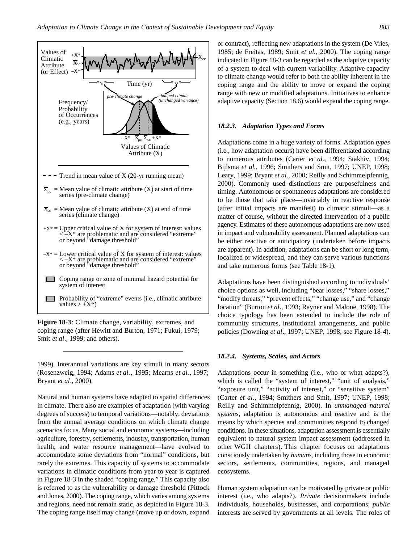

**Figure 18-3**: Climate change, variability, extremes, and coping range (after Hewitt and Burton, 1971; Fukui, 1979; Smit *et al*., 1999; and others).

1999). Interannual variations are key stimuli in many sectors (Rosenzweig, 1994; Adams *et al*., 1995; Mearns *et al*., 1997; Bryant *et al*., 2000).

Natural and human systems have adapted to spatial differences in climate. There also are examples of adaptation (with varying degrees of success) to temporal variations—notably, deviations from the annual average conditions on which climate change scenarios focus. Many social and economic systems—including agriculture, forestry, settlements, industry, transportation, human health, and water resource management—have evolved to accommodate some deviations from "normal" conditions, but rarely the extremes. This capacity of systems to accommodate variations in climatic conditions from year to year is captured in Figure 18-3 in the shaded "coping range." This capacity also is referred to as the vulnerability or damage threshold (Pittock and Jones, 2000). The coping range, which varies among systems and regions, need not remain static, as depicted in Figure 18-3. The coping range itself may change (move up or down, expand

or contract), reflecting new adaptations in the system (De Vries, 1985; de Freitas, 1989; Smit *et al.*, 2000). The coping range indicated in Figure 18-3 can be regarded as the adaptive capacity of a system to deal with current variability. Adaptive capacity to climate change would refer to both the ability inherent in the coping range and the ability to move or expand the coping range with new or modified adaptations. Initiatives to enhance adaptive capacity (Section 18.6) would expand the coping range.

#### *18.2.3. Adaptation Types and Forms*

Adaptations come in a huge variety of forms. Adaptation *types* (i.e., how adaptation occurs) have been differentiated according to numerous attributes (Carter *et al.*, 1994; Stakhiv, 1994; Bijlsma *et al.*, 1996; Smithers and Smit, 1997; UNEP, 1998; Leary, 1999; Bryant *et al*., 2000; Reilly and Schimmelpfennig, 2000). Commonly used distinctions are purposefulness and timing. Autonomous or spontaneous adaptations are considered to be those that take place—invariably in reactive response (after initial impacts are manifest) to climatic stimuli—as a matter of course, without the directed intervention of a public agency. Estimates of these autonomous adaptations are now used in impact and vulnerability assessment. Planned adaptations can be either reactive or anticipatory (undertaken before impacts are apparent). In addition, adaptations can be short or long term, localized or widespread, and they can serve various functions and take numerous forms (see Table 18-1).

Adaptations have been distinguished according to individuals' choice options as well, including "bear losses," "share losses," "modify threats," "prevent effects," "change use," and "change location" (Burton *et al*., 1993; Rayner and Malone, 1998). The choice typology has been extended to include the role of community structures, institutional arrangements, and public policies (Downing *et al*., 1997; UNEP, 1998; see Figure 18-4).

#### *18.2.4. Systems, Scales, and Actors*

Adaptations occur in something (i.e., who or what adapts?), which is called the "system of interest," "unit of analysis," "exposure unit," "activity of interest," or "sensitive system" (Carter *et al.*, 1994; Smithers and Smit, 1997; UNEP, 1998; Reilly and Schimmelpfennig, 2000). In *unmanaged natural systems,* adaptation is autonomous and reactive and is the means by which species and communities respond to changed conditions. In these situations, adaptation assessment is essentially equivalent to natural system impact assessment (addressed in other WGII chapters). This chapter focuses on adaptations consciously undertaken by *humans*, including those in economic sectors, settlements, communities, regions, and managed ecosystems.

Human system adaptation can be motivated by private or public interest (i.e., who adapts?). *Private* decisionmakers include individuals, households, businesses, and corporations; *public* interests are served by governments at all levels. The roles of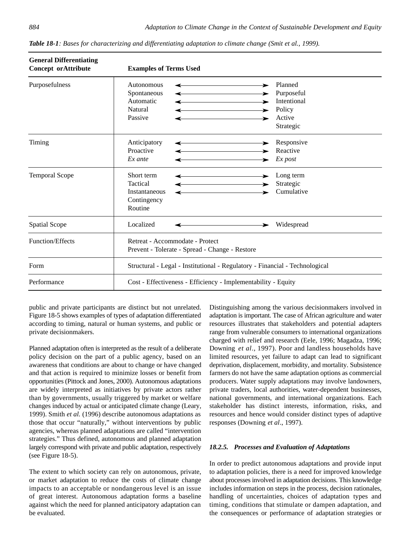| <b>General Differentiating</b><br>Concept orAttribute | <b>Examples of Terms Used</b>                                                     |                                                |                                                                                                                                                                              |  |
|-------------------------------------------------------|-----------------------------------------------------------------------------------|------------------------------------------------|------------------------------------------------------------------------------------------------------------------------------------------------------------------------------|--|
| Purposefulness                                        | Autonomous<br>Spontaneous<br>Automatic<br>Natural<br>Passive                      | $\longleftrightarrow$                          | Planned<br>$\blacktriangleright$<br>Purposeful<br>Intentional<br>$\longleftrightarrow$<br>$\overline{\phantom{a}}$<br>Policy<br>Active<br>$\blacktriangleright$<br>Strategic |  |
| Timing                                                | Anticipatory<br>Proactive<br>Ex ante                                              | $\longleftrightarrow$                          | Responsive<br>$\longleftrightarrow$<br>Reactive<br>Ex post                                                                                                                   |  |
| <b>Temporal Scope</b>                                 | Short term<br>Tactical<br>Instantaneous<br>Contingency<br>Routine                 | $\longleftrightarrow$<br>$\longleftrightarrow$ | $\longleftrightarrow$ Long term<br>Strategic<br>Cumulative                                                                                                                   |  |
| Spatial Scope                                         | Localized                                                                         | $\longleftrightarrow$                          | Widespread                                                                                                                                                                   |  |
| <b>Function/Effects</b>                               | Retreat - Accommodate - Protect<br>Prevent - Tolerate - Spread - Change - Restore |                                                |                                                                                                                                                                              |  |
| Form                                                  | Structural - Legal - Institutional - Regulatory - Financial - Technological       |                                                |                                                                                                                                                                              |  |
| Performance                                           | Cost - Effectiveness - Efficiency - Implementability - Equity                     |                                                |                                                                                                                                                                              |  |

|  | Table 18-1: Bases for characterizing and differentiating adaptation to climate change (Smit et al., 1999). |  |  |
|--|------------------------------------------------------------------------------------------------------------|--|--|
|--|------------------------------------------------------------------------------------------------------------|--|--|

public and private participants are distinct but not unrelated. Figure 18-5 shows examples of types of adaptation differentiated according to timing, natural or human systems, and public or private decisionmakers.

Planned adaptation often is interpreted as the result of a deliberate policy decision on the part of a public agency, based on an awareness that conditions are about to change or have changed and that action is required to minimize losses or benefit from opportunities (Pittock and Jones, 2000). Autonomous adaptations are widely interpreted as initiatives by private actors rather than by governments, usually triggered by market or welfare changes induced by actual or anticipated climate change (Leary, 1999). Smith *et al.* (1996) describe autonomous adaptations as those that occur "naturally," without interventions by public agencies, whereas planned adaptations are called "intervention strategies." Thus defined, autonomous and planned adaptation largely correspond with private and public adaptation, respectively (see Figure 18-5).

The extent to which society can rely on autonomous, private, or market adaptation to reduce the costs of climate change impacts to an acceptable or nondangerous level is an issue of great interest. Autonomous adaptation forms a baseline against which the need for planned anticipatory adaptation can be evaluated.

Distinguishing among the various decisionmakers involved in adaptation is important. The case of African agriculture and water resources illustrates that stakeholders and potential adapters range from vulnerable consumers to international organizations charged with relief and research (Eele, 1996; Magadza, 1996; Downing *et al*., 1997). Poor and landless households have limited resources, yet failure to adapt can lead to significant deprivation, displacement, morbidity, and mortality. Subsistence farmers do not have the same adaptation options as commercial producers. Water supply adaptations may involve landowners, private traders, local authorities, water-dependent businesses, national governments, and international organizations. Each stakeholder has distinct interests, information, risks, and resources and hence would consider distinct types of adaptive responses (Downing *et al*., 1997).

#### *18.2.5. Processes and Evaluation of Adaptations*

In order to predict autonomous adaptations and provide input to adaptation policies, there is a need for improved knowledge about processes involved in adaptation decisions. This knowledge includes information on steps in the process, decision rationales, handling of uncertainties, choices of adaptation types and timing, conditions that stimulate or dampen adaptation, and the consequences or performance of adaptation strategies or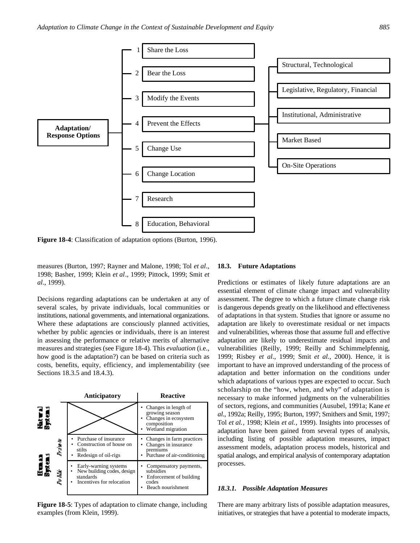

**Figure 18-4**: Classification of adaptation options (Burton, 1996).

measures (Burton, 1997; Rayner and Malone, 1998; Tol *et al*., 1998; Basher, 1999; Klein *et al*., 1999; Pittock, 1999; Smit *et al*., 1999).

Decisions regarding adaptations can be undertaken at any of several scales, by private individuals, local communities or institutions, national governments, and international organizations. Where these adaptations are consciously planned activities, whether by public agencies or individuals, there is an interest in assessing the performance or relative merits of alternative measures and strategies (see Figure 18-4). This *evaluation* (i.e., how good is the adaptation?) can be based on criteria such as costs, benefits, equity, efficiency, and implementability (see Sections 18.3.5 and 18.4.3).



**Figure 18-5**: Types of adaptation to climate change, including examples (from Klein, 1999).

#### **18.3. Future Adaptations**

Predictions or estimates of likely future adaptations are an essential element of climate change impact and vulnerability assessment. The degree to which a future climate change risk is dangerous depends greatly on the likelihood and effectiveness of adaptations in that system. Studies that ignore or assume no adaptation are likely to overestimate residual or net impacts and vulnerabilities, whereas those that assume full and effective adaptation are likely to underestimate residual impacts and vulnerabilities (Reilly, 1999; Reilly and Schimmelpfennig, 1999; Risbey *et al*., 1999; Smit *et al.*, 2000). Hence, it is important to have an improved understanding of the process of adaptation and better information on the conditions under which adaptations of various types are expected to occur. Such scholarship on the "how, when, and why" of adaptation is necessary to make informed judgments on the vulnerabilities of sectors, regions, and communities (Ausubel, 1991a; Kane *et a l*., 1992a; Reilly, 1995; Burton, 1997; Smithers and Smit, 1997; Tol *et al.*, 1998; Klein *et al.*, 1999). Insights into processes of adaptation have been gained from several types of analysis, including listing of possible adaptation measures, impact assessment models, adaptation process models, historical and spatial analogs, and empirical analysis of contemporary adaptation processes.

#### *18.3.1. Possible Adaptation Measures*

There are many arbitrary lists of possible adaptation measures, initiatives, or strategies that have a potential to moderate impacts,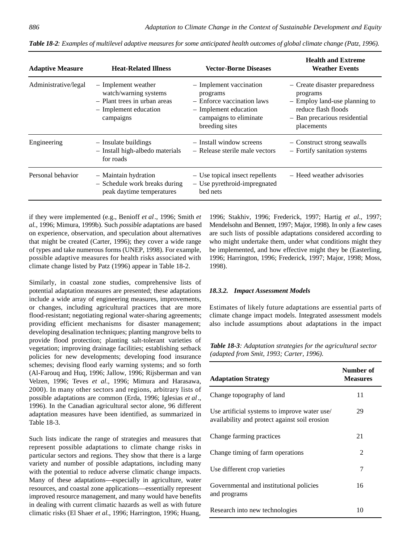| <b>Adaptive Measure</b> | <b>Heat-Related Illness</b>                                                                                        | <b>Vector-Borne Diseases</b>                                                                                                           | <b>Health and Extreme</b><br><b>Weather Events</b>                                                                                               |
|-------------------------|--------------------------------------------------------------------------------------------------------------------|----------------------------------------------------------------------------------------------------------------------------------------|--------------------------------------------------------------------------------------------------------------------------------------------------|
| Administrative/legal    | - Implement weather<br>watch/warning systems<br>- Plant trees in urban areas<br>- Implement education<br>campaigns | - Implement vaccination<br>programs<br>- Enforce vaccination laws<br>- Implement education<br>campaigns to eliminate<br>breeding sites | - Create disaster preparedness<br>programs<br>- Employ land-use planning to<br>reduce flash floods<br>- Ban precarious residential<br>placements |
| Engineering             | - Insulate buildings<br>- Install high-albedo materials<br>for roads                                               | - Install window screens<br>- Release sterile male vectors                                                                             | - Construct strong seawalls<br>- Fortify sanitation systems                                                                                      |
| Personal behavior       | - Maintain hydration<br>- Schedule work breaks during<br>peak daytime temperatures                                 | - Use topical insect repellents<br>- Use pyrethroid-impregnated<br>bed nets                                                            | - Heed weather advisories                                                                                                                        |

*Table 18-2: Examples of multilevel adaptive measures for some anticipated health outcomes of global climate change (Patz, 1996).*

if they were implemented (e.g., Benioff *et al*., 1996; Smith *et al.*, 1996; Mimura, 1999b). Such *possible* adaptations are based on experience, observation, and speculation about alternatives that might be created (Carter, 1996); they cover a wide range of types and take numerous forms (UNEP, 1998). For example, possible adaptive measures for health risks associated with climate change listed by Patz (1996) appear in Table 18-2.

Similarly, in coastal zone studies, comprehensive lists of potential adaptation measures are presented; these adaptations include a wide array of engineering measures, improvements, or changes, including agricultural practices that are more flood-resistant; negotiating regional water-sharing agreements; providing efficient mechanisms for disaster management; developing desalination techniques; planting mangrove belts to provide flood protection; planting salt-tolerant varieties of vegetation; improving drainage facilities; establishing setback policies for new developments; developing food insurance schemes; devising flood early warning systems; and so forth (Al-Farouq and Huq, 1996; Jallow, 1996; Rijsberman and van Velzen, 1996; Teves *et al*., 1996; Mimura and Harasawa, 2000). In many other sectors and regions, arbitrary lists of possible adaptations are common (Erda, 1996; Iglesias *et al.*, 1996). In the Canadian agricultural sector alone, 96 different adaptation measures have been identified, as summarized in Table 18-3.

Such lists indicate the range of strategies and measures that represent possible adaptations to climate change risks in particular sectors and regions. They show that there is a large variety and number of possible adaptations, including many with the potential to reduce adverse climatic change impacts. Many of these adaptations—especially in agriculture, water resources, and coastal zone applications—essentially represent improved resource management, and many would have benefits in dealing with current climatic hazards as well as with future climatic risks (El Shaer *et al.*, 1996; Harrington, 1996; Huang,

1996; Stakhiv, 1996; Frederick, 1997; Hartig *et al*., 1997; Mendelsohn and Bennett, 1997; Major, 1998). In only a few cases are such lists of possible adaptations considered according to who might undertake them, under what conditions might they be implemented, and how effective might they be (Easterling, 1996; Harrington, 1996; Frederick, 1997; Major, 1998; Moss, 1998).

#### *18.3.2. Impact Assessment Models*

Estimates of likely future adaptations are essential parts of climate change impact models. Integrated assessment models also include assumptions about adaptations in the impact

*Table 18-3: Adaptation strategies for the agricultural sector (adapted from Smit, 1993; Carter, 1996).*

| <b>Adaptation Strategy</b>                                                                   | Number of<br><b>Measures</b> |
|----------------------------------------------------------------------------------------------|------------------------------|
| Change topography of land                                                                    | 11                           |
| Use artificial systems to improve water use<br>availability and protect against soil erosion | 29                           |
| Change farming practices                                                                     | 21                           |
| Change timing of farm operations                                                             | 2                            |
| Use different crop varieties                                                                 | 7                            |
| Governmental and institutional policies<br>and programs                                      | 16                           |
| Research into new technologies                                                               | 10                           |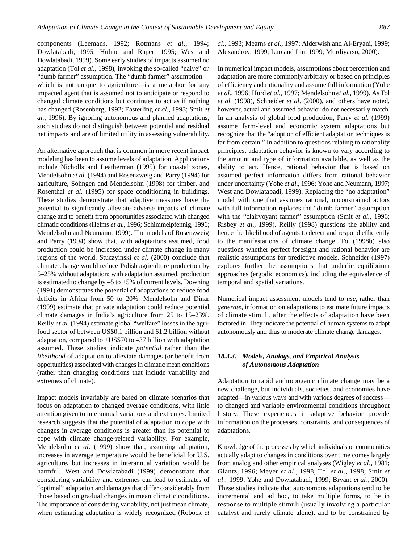components (Leemans, 1992; Rotmans *et al.*, 1994; Dowlatabadi, 1995; Hulme and Raper, 1995; West and Dowlatabadi, 1999). Some early studies of impacts assumed no adaptation (Tol *et al.,* 1998), invoking the so-called "naive" or "dumb farmer" assumption. The "dumb farmer" assumption which is not unique to agriculture—is a metaphor for any impacted agent that is assumed not to anticipate or respond to changed climate conditions but continues to act as if nothing has changed (Rosenberg, 1992; Easterling *et al.*, 1993; Smit *et al.*, 1996). By ignoring autonomous and planned adaptations, such studies do not distinguish between potential and residual net impacts and are of limited utility in assessing vulnerability.

An alternative approach that is common in more recent impact modeling has been to assume levels of adaptation. Applications include Nicholls and Leatherman (1995) for coastal zones, Mendelsohn *et al*. (1994) and Rosenzweig and Parry (1994) for agriculture, Sohngen and Mendelsohn (1998) for timber, and Rosenthal *et al.* (1995) for space conditioning in buildings. These studies demonstrate that adaptive measures have the potential to significantly alleviate adverse impacts of climate change and to benefit from opportunities associated with changed climatic conditions (Helms *et al*., 1996; Schimmelpfennig, 1996; Mendelsohn and Neumann, 1999). The models of Rosenzweig and Parry (1994) show that, with adaptations assumed, food production could be increased under climate change in many regions of the world. Stuczyinski *et al*. (2000) conclude that climate change would reduce Polish agriculture production by 5–25% without adaptation; with adaptation assumed, production is estimated to change by  $-5$  to  $+5\%$  of current levels. Downing (1991) demonstrates the potential of adaptations to reduce food deficits in Africa from 50 to 20%. Mendelsohn and Dinar (1999) estimate that private adaptation could reduce potential climate damages in India's agriculture from 25 to 15–23%. Reilly *et al*. (1994) estimate global "welfare" losses in the agrifood sector of between US\$0.1 billion and 61.2 billion without adaptation, compared to  $+$ US\$70 to  $-37$  billion with adaptation assumed. These studies indicate *potential* rather than the *likelihood* of adaptation to alleviate damages (or benefit from opportunities) associated with changes in climatic mean conditions (rather than changing conditions that include variability and extremes of climate).

Impact models invariably are based on climate scenarios that focus on adaptation to changed average conditions, with little attention given to interannual variations and extremes. Limited research suggests that the potential of adaptation to cope with changes in average conditions is greater than its potential to cope with climate change-related variability. For example, Mendelsohn *et al*. (1999) show that, assuming adaptation, increases in average temperature would be beneficial for U.S. agriculture, but increases in interannual variation would be harmful. West and Dowlatabadi (1999) demonstrate that considering variability and extremes can lead to estimates of "optimal" adaptation and damages that differ considerably from those based on gradual changes in mean climatic conditions. The importance of considering variability, not just mean climate, when estimating adaptation is widely recognized (Robock *et*

*al*., 1993; Mearns *et al*., 1997; Alderwish and Al-Eryani, 1999; Alexandrov, 1999; Luo and Lin, 1999; Murdiyarso, 2000).

In numerical impact models, assumptions about perception and adaptation are more commonly arbitrary or based on principles of efficiency and rationality and assume full information (Yohe *et al*., 1996; Hurd *et al*., 1997; Mendelsohn *et al*., 1999). As Tol *et al.* (1998), Schneider *et al*. (2000), and others have noted, however, actual and assumed behavior do not necessarily match. In an analysis of global food production, Parry *et al*. (1999) assume farm-level and economic system adaptations but recognize that the "adoption of efficient adaptation techniques is far from certain." In addition to questions relating to rationality principles, adaptation behavior is known to vary according to the amount and type of information available, as well as the ability to act. Hence, rational behavior that is based on assumed perfect information differs from rational behavior under uncertainty (Yohe *et al.*, 1996; Yohe and Neumann, 1997; West and Dowlatabadi, 1999). Replacing the "no adaptation" model with one that assumes rational, unconstrained actors with full information replaces the "dumb farmer" assumption with the "clairvoyant farmer" assumption (Smit *et al.*, 1996; Risbey *et al*., 1999). Reilly (1998) questions the ability and hence the likelihood of agents to detect and respond efficiently to the manifestations of climate change. Tol (1998b) also questions whether perfect foresight and rational behavior are realistic assumptions for predictive models. Schneider (1997) explores further the assumptions that underlie equilibrium approaches (ergodic economics), including the equivalence of temporal and spatial variations.

Numerical impact assessment models tend to *use*, rather than *generate*, information on adaptations to estimate future impacts of climate stimuli, after the effects of adaptation have been factored in. They indicate the potential of human systems to adapt autonomously and thus to moderate climate change damages.

# *18.3.3. Models, Analogs, and Empirical Analysis of Autonomous Adaptation*

Adaptation to rapid anthropogenic climate change may be a new challenge, but individuals, societies, and economies have adapted—in various ways and with various degrees of success to changed and variable environmental conditions throughout history. These experiences in adaptive behavior provide information on the processes, constraints, and consequences of adaptations.

Knowledge of the processes by which individuals or communities actually adapt to changes in conditions over time comes largely from analog and other empirical analyses (Wigley *et al*., 1981; Glantz, 1996; Meyer *et al*., 1998; Tol *et al*., 1998; Smit *e t a l*., 1999; Yohe and Dowlatabadi, 1999; Bryant *et al*., 2000). These studies indicate that autonomous adaptations tend to be incremental and ad hoc, to take multiple forms, to be in response to multiple stimuli (usually involving a particular catalyst and rarely climate alone), and to be constrained by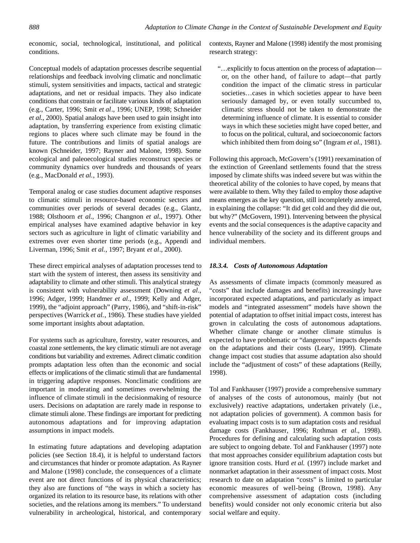economic, social, technological, institutional, and political conditions.

Conceptual models of adaptation processes describe sequential relationships and feedback involving climatic and nonclimatic stimuli, system sensitivities and impacts, tactical and strategic adaptations, and net or residual impacts. They also indicate conditions that constrain or facilitate various kinds of adaptation (e.g., Carter, 1996; Smit *et al*., 1996; UNEP, 1998; Schneider *et al*., 2000). Spatial analogs have been used to gain insight into adaptation, by transferring experience from existing climatic regions to places where such climate may be found in the future. The contributions and limits of spatial analogs are known (Schneider, 1997; Rayner and Malone, 1998). Some ecological and paleoecological studies reconstruct species or community dynamics over hundreds and thousands of years (e.g., MacDonald *et al.*, 1993).

Temporal analog or case studies document adaptive responses to climatic stimuli in resource-based economic sectors and communities over periods of several decades (e.g., Glantz*,* 1988; Olsthoorn *et al.*, 1996; Changnon *et al*., 1997). Other empirical analyses have examined adaptive behavior in key sectors such as agriculture in light of climatic variability and extremes over even shorter time periods (e.g., Appendi and Liverman, 1996; Smit *et al.*, 1997; Bryant *et al*., 2000).

These direct empirical analyses of adaptation processes tend to start with the system of interest, then assess its sensitivity and adaptability to climate and other stimuli. This analytical strategy is consistent with vulnerability assessment (Downing *et al*., 1996; Adger, 1999; Handmer *et al*., 1999; Kelly and Adger, 1999), the "adjoint approach" (Parry, 1986), and "shift-in-risk" perspectives (Warrick *et al.*, 1986). These studies have yielded some important insights about adaptation.

For systems such as agriculture, forestry, water resources, and coastal zone settlements, the key climatic stimuli are not average conditions but variability and extremes. Adirect climatic condition prompts adaptation less often than the economic and social e ffects or implications of the climatic stimuli that are fundamental in triggering adaptive responses. Nonclimatic conditions are important in moderating and sometimes overwhelming the influence of climate stimuli in the decisionmaking of resource users. Decisions on adaptation are rarely made in response to climate stimuli alone. These findings are important for predicting autonomous adaptations and for improving adaptation assumptions in impact models.

In estimating future adaptations and developing adaptation policies (see Section 18.4), it is helpful to understand factors and circumstances that hinder or promote adaptation. As Rayner and Malone (1998) conclude, the consequences of a climate event are not direct functions of its physical characteristics; they also are functions of "the ways in which a society has o rganized its relation to its resource base, its relations with other societies, and the relations among its members." To understand vulnerability in archeological, historical, and contemporary contexts, Rayner and Malone (1998) identify the most promising research strategy:

"…explicitly to focus attention on the process of adaptation or, on the other hand, of failure to adapt—that partly condition the impact of the climatic stress in particular societies…cases in which societies appear to have been seriously damaged by, or even totally succumbed to, climatic stress should not be taken to demonstrate the determining influence of climate. It is essential to consider ways in which these societies might have coped better, and to focus on the political, cultural, and socioeconomic factors which inhibited them from doing so" (Ingram *et al.*, 1981).

Following this approach, McGovern's (1991) reexamination of the extinction of Greenland settlements found that the stress imposed by climate shifts was indeed severe but was within the theoretical ability of the colonies to have coped, by means that were available to them. Why they failed to employ those adaptive means emerges as the key question, still incompletely answered, in explaining the collapse: "It did get cold and they did die out, but why?" (McGovern, 1991). Intervening between the physical events and the social consequences is the adaptive capacity and hence vulnerability of the society and its different groups and individual members.

#### *18.3.4. Costs of Autonomous Adaptation*

As assessments of climate impacts (commonly measured as "costs" that include damages and benefits) increasingly have incorporated expected adaptations, and particularly as impact models and "integrated assessment" models have shown the potential of adaptation to offset initial impact costs, interest has grown in calculating the costs of autonomous adaptations. Whether climate change or another climate stimulus is expected to have problematic or "dangerous" impacts depends on the adaptations and their costs (Leary, 1999). Climate change impact cost studies that assume adaptation also should include the "adjustment of costs" of these adaptations (Reilly, 1998).

Tol and Fankhauser (1997) provide a comprehensive summary of analyses of the costs of autonomous, mainly (but not exclusively) reactive adaptations, undertaken privately (i.e., not adaptation policies of government). A common basis for evaluating impact costs is to sum adaptation costs and residual damage costs (Fankhauser, 1996; Rothman *et al*., 1998). Procedures for defining and calculating such adaptation costs are subject to ongoing debate. Tol and Fankhauser (1997) note that most approaches consider equilibrium adaptation costs but ignore transition costs. Hurd *et al.* (1997) include market and nonmarket adaptation in their assessment of impact costs. Most research to date on adaptation "costs" is limited to particular economic measures of well-being (Brown, 1998). Any comprehensive assessment of adaptation costs (including benefits) would consider not only economic criteria but also social welfare and equity.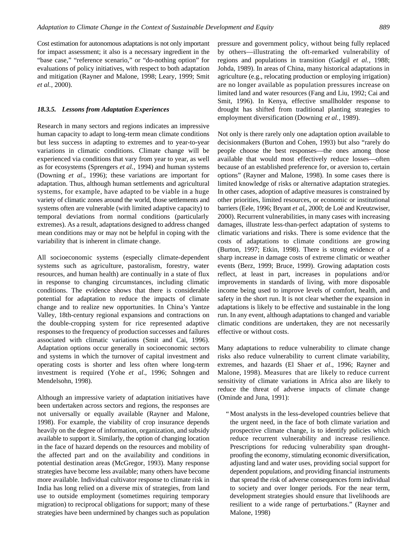Cost estimation for autonomous adaptations is not only important for impact assessment; it also is a necessary ingredient in the "base case," "reference scenario," or "do-nothing option" for evaluations of policy initiatives, with respect to both adaptation and mitigation (Rayner and Malone, 1998; Leary, 1999; Smit *et al.*, 2000).

# *18.3.5. Lessons from Adaptation Experiences*

Research in many sectors and regions indicates an impressive human capacity to adapt to long-term mean climate conditions but less success in adapting to extremes and to year-to-year variations in climatic conditions. Climate change will be experienced via conditions that vary from year to year, as well as for ecosystems (Sprengers *et al.*, 1994) and human systems (Downing *et al*., 1996); these variations are important for adaptation. Thus, although human settlements and agricultural systems, for example, have adapted to be viable in a huge variety of climatic zones around the world, those settlements and systems often are vulnerable (with limited adaptive capacity) to temporal deviations from normal conditions (particularly extremes). As a result, adaptations designed to address changed mean conditions may or may not be helpful in coping with the variability that is inherent in climate change.

All socioeconomic systems (especially climate-dependent systems such as agriculture, pastoralism, forestry, water resources, and human health) are continually in a state of flux in response to changing circumstances, including climatic conditions. The evidence shows that there is considerable potential for adaptation to reduce the impacts of climate change and to realize new opportunities. In China's Yantze Valley, 18th-century regional expansions and contractions on the double-cropping system for rice represented adaptive responses to the frequency of production successes and failures associated with climatic variations (Smit and Cai, 1996). Adaptation options occur generally in socioeconomic sectors and systems in which the turnover of capital investment and operating costs is shorter and less often where long-term investment is required (Yohe *et al*., 1996; Sohngen and Mendelsohn, 1998).

Although an impressive variety of adaptation initiatives have been undertaken across sectors and regions, the responses are not universally or equally available (Rayner and Malone, 1998). For example, the viability of crop insurance depends heavily on the degree of information, organization, and subsidy available to support it. Similarly, the option of changing location in the face of hazard depends on the resources and mobility of the affected part and on the availability and conditions in potential destination areas (McGregor, 1993). Many response strategies have become less available; many others have become more available. Individual cultivator response to climate risk in India has long relied on a diverse mix of strategies, from land use to outside employment (sometimes requiring temporary migration) to reciprocal obligations for support; many of these strategies have been undermined by changes such as population

pressure and government policy, without being fully replaced by others—illustrating the oft-remarked vulnerability of regions and populations in transition (Gadgil *et al.*, 1988; Johda, 1989). In areas of China, many historical adaptations in agriculture (e.g., relocating production or employing irrigation) are no longer available as population pressures increase on limited land and water resources (Fang and Liu, 1992; Cai and Smit, 1996). In Kenya, effective smallholder response to drought has shifted from traditional planting strategies to employment diversification (Downing *et al.*, 1989).

Not only is there rarely only one adaptation option available to decisionmakers (Burton and Cohen, 1993) but also "rarely do people choose the best responses—the ones among those available that would most effectively reduce losses—often because of an established preference for, or aversion to, certain options" (Rayner and Malone, 1998). In some cases there is limited knowledge of risks or alternative adaptation strategies. In other cases, adoption of adaptive measures is constrained by other priorities, limited resources, or economic or institutional barriers (Eele, 1996; Bryant *et al*., 2000; de Loë and Kreutzwiser, 2000). Recurrent vulnerabilities, in many cases with increasing damages, illustrate less-than-perfect adaptation of systems to climatic variations and risks. There is some evidence that the costs of adaptations to climate conditions are growing (Burton, 1997; Etkin, 1998). There is strong evidence of a sharp increase in damage costs of extreme climatic or weather events (Berz, 1999; Bruce, 1999). Growing adaptation costs reflect, at least in part, increases in populations and/or improvements in standards of living, with more disposable income being used to improve levels of comfort, health, and safety in the short run. It is not clear whether the expansion in adaptations is likely to be effective and sustainable in the long run. In any event, although adaptations to changed and variable climatic conditions are undertaken, they are not necessarily effective or without costs.

Many adaptations to reduce vulnerability to climate change risks also reduce vulnerability to current climate variability, extremes, and hazards (El Shaer *et al*., 1996; Rayner and Malone, 1998). Measures that are likely to reduce current sensitivity of climate variations in Africa also are likely to reduce the threat of adverse impacts of climate change (Ominde and Juna, 1991):

" Most analysts in the less-developed countries believe that the urgent need, in the face of both climate variation and prospective climate change, is to identify policies which reduce recurrent vulnerability and increase resilience. Prescriptions for reducing vulnerability span droughtproofing the economy, stimulating economic diversification, adjusting land and water uses, providing social support for dependent populations, and providing financial instruments that spread the risk of adverse consequences form individual to society and over longer periods. For the near term, development strategies should ensure that livelihoods are resilient to a wide range of perturbations." (Rayner and Malone, 1998)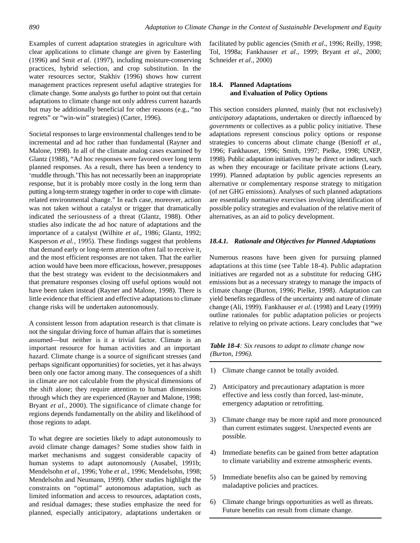Examples of current adaptation strategies in agriculture with clear applications to climate change are given by Easterling (1996) and Smit *et al.* (1997), including moisture-conserving practices, hybrid selection, and crop substitution. In the water resources sector, Stakhiv (1996) shows how current management practices represent useful adaptive strategies for climate change. Some analysts go further to point out that certain adaptations to climate change not only address current hazards but may be additionally beneficial for other reasons (e.g., "no regrets" or "win-win" strategies) (Carter, 1996).

Societal responses to large environmental challenges tend to be incremental and ad hoc rather than fundamental (Rayner and Malone, 1998). In all of the climate analog cases examined by Glantz (1988), "Ad hoc responses were favored over long term planned responses. As a result, there has been a tendency to 'muddle through.'This has not necessarily been an inappropriate response, but it is probably more costly in the long term than putting a long-term strategy together in order to cope with climaterelated environmental change." In each case, moreover, action was not taken without a catalyst or trigger that dramatically indicated the seriousness of a threat (Glantz, 1988). Other studies also indicate the ad hoc nature of adaptations and the importance of a catalyst (Wilhite *et al.*, 1986; Glantz, 1992; Kasperson *et al.*, 1995). These findings suggest that problems that demand early or long-term attention often fail to receive it, and the most efficient responses are not taken. That the earlier action would have been more efficacious, however, presupposes that the best strategy was evident to the decisionmakers and that premature responses closing off useful options would not have been taken instead (Rayner and Malone, 1998). There is little evidence that efficient and effective adaptations to climate change risks will be undertaken autonomously.

A consistent lesson from adaptation research is that climate is not the singular driving force of human affairs that is sometimes assumed—but neither is it a trivial factor. Climate is an important resource for human activities and an important hazard. Climate change is a source of significant stresses (and perhaps significant opportunities) for societies, yet it has always been only one factor among many. The consequences of a shift in climate are not calculable from the physical dimensions of the shift alone; they require attention to human dimensions through which they are experienced (Rayner and Malone, 1998; Bryant *et al*., 2000). The significance of climate change for regions depends fundamentally on the ability and likelihood of those regions to adapt.

To what degree are societies likely to adapt autonomously to avoid climate change damages? Some studies show faith in market mechanisms and suggest considerable capacity of human systems to adapt autonomously (Ausabel, 1991b; Mendelsohn *et al*., 1996; Yohe *et al*., 1996; Mendelsohn, 1998; Mendelsohn and Neumann, 1999). Other studies highlight the constraints on "optimal" autonomous adaptation, such as limited information and access to resources, adaptation costs, and residual damages; these studies emphasize the need for planned, especially anticipatory, adaptations undertaken or

facilitated by public agencies (Smith *et al*., 1996; Reilly, 1998; Tol, 1998a; Fankhauser *et al*., 1999; Bryant *et al*., 2000; Schneider *et al*., 2000)

# **18.4. Planned Adaptations and Evaluation of Policy Options**

This section considers *planned*, mainly (but not exclusively) *anticipatory* adaptations, undertaken or directly influenced by *governments* or collectives as a public policy initiative. These adaptations represent conscious policy options or response strategies to concerns about climate change (Benioff *et al*., 1996; Fankhauser, 1996; Smith, 1997; Pielke, 1998; UNEP, 1998). Public adaptation initiatives may be direct or indirect, such as when they encourage or facilitate private actions (Leary, 1999). Planned adaptation by public agencies represents an alternative or complementary response strategy to mitigation (of net GHG emissions). Analyses of such planned adaptations are essentially normative exercises involving identification of possible policy strategies and evaluation of the relative merit of alternatives, as an aid to policy development.

# *18.4.1. Rationale and Objectives for Planned Adaptations*

Numerous reasons have been given for pursuing planned adaptations at this time (see Table 18-4). Public adaptation initiatives are regarded not as a substitute for reducing GHG emissions but as a necessary strategy to manage the impacts of climate change (Burton, 1996; Pielke, 1998). Adaptation can yield benefits regardless of the uncertainty and nature of climate change (Ali, 1999). Fankhauser *et al*. (1998) and Leary (1999) outline rationales for public adaptation policies or projects relative to relying on private actions. Leary concludes that "we

# *Table 18-4: Six reasons to adapt to climate change now (Burton, 1996).*

- 1) Climate change cannot be totally avoided.
- 2) Anticipatory and precautionary adaptation is more effective and less costly than forced, last-minute, emergency adaptation or retrofitting.
- 3) Climate change may be more rapid and more pronounced than current estimates suggest. Unexpected events are possible.
- 4) Immediate benefits can be gained from better adaptation to climate variability and extreme atmospheric events.
- 5 ) Immediate benefits also can be gained by removing maladaptive policies and practices.
- 6) Climate change brings opportunities as well as threats. Future benefits can result from climate change.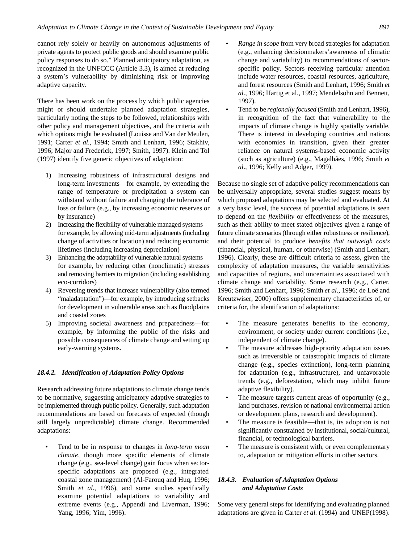cannot rely solely or heavily on autonomous adjustments of private agents to protect public goods and should examine public policy responses to do so." Planned anticipatory adaptation, as recognized in the UNFCCC (Article 3.3), is aimed at reducing a system's vulnerability by diminishing risk or improving adaptive capacity.

There has been work on the process by which public agencies might or should undertake planned adaptation strategies, particularly noting the steps to be followed, relationships with other policy and management objectives, and the criteria with which options might be evaluated (Louisse and Van der Meulen, 1991; Carter *et al*., 1994; Smith and Lenhart, 1996; Stakhiv, 1996; Major and Frederick, 1997; Smith, 1997). Klein and Tol (1997) identify five generic objectives of adaptation:

- 1) Increasing robustness of infrastructural designs and long-term investments—for example, by extending the range of temperature or precipitation a system can withstand without failure and changing the tolerance of loss or failure (e.g., by increasing economic reserves or by insurance)
- 2) Increasing the flexibility of vulnerable managed systems for example, by allowing mid-term adjustments (including change of activities or location) and reducing economic lifetimes (including increasing depreciation)
- 3) Enhancing the adaptability of vulnerable natural systems for example, by reducing other (nonclimatic) stresses and removing barriers to migration (including establishing eco-corridors)
- 4) Reversing trends that increase vulnerability (also termed "maladaptation")—for example, by introducing setbacks for development in vulnerable areas such as floodplains and coastal zones
- 5) Improving societal awareness and preparedness—for example, by informing the public of the risks and possible consequences of climate change and setting up early-warning systems.

# *18.4.2. Identification of Adaptation Policy Options*

Research addressing future adaptations to climate change tends to be normative, suggesting anticipatory adaptive strategies to be implemented through public policy. Generally, such adaptation recommendations are based on forecasts of expected (though still largely unpredictable) climate change. Recommended adaptations:

• Tend to be in response to changes in *long-term mean climate*, though more specific elements of climate change (e.g., sea-level change) gain focus when sectorspecific adaptations are proposed (e.g., integrated coastal zone management) (Al-Farouq and Huq, 1996; Smith *et al*., 1996), and some studies specifically examine potential adaptations to variability and extreme events (e.g., Appendi and Liverman, 1996; Yang, 1996; Yim, 1996).

- *Range in scope* from very broad strategies for adaptation (e.g., enhancing decisionmakers'awareness of climatic change and variability) to recommendations of sectorspecific policy. Sectors receiving particular attention include water resources, coastal resources, agriculture, and forest resources (Smith and Lenhart, 1996; Smith *et al*., 1996; Hartig et al., 1997; Mendelsohn and Bennett, 1997).
- Tend to be *regionally focused* (Smith and Lenhart, 1996), in recognition of the fact that vulnerability to the impacts of climate change is highly spatially variable. There is interest in developing countries and nations with economies in transition, given their greater reliance on natural systems-based economic activity (such as agriculture) (e.g., Magalhães, 1996; Smith *et al*., 1996; Kelly and Adger, 1999).

Because no single set of adaptive policy recommendations can be universally appropriate, several studies suggest means by which proposed adaptations may be selected and evaluated. At a very basic level, the success of potential adaptations is seen to depend on the *flexibility* or effectiveness of the measures, such as their ability to meet stated objectives given a range of future climate scenarios (through either robustness or resilience), and their potential to produce *benefits that outweigh costs* (financial, physical, human, or otherwise) (Smith and Lenhart, 1996). Clearly, these are difficult criteria to assess, given the complexity of adaptation measures, the variable sensitivities and capacities of regions, and uncertainties associated with climate change and variability. Some research (e.g., Carter, 1996; Smith and Lenhart, 1996; Smith *et al.*, 1996; de Loë and Kreutzwiser, 2000) offers supplementary characteristics of, or criteria for, the identification of adaptations:

- The measure generates benefits to the economy, environment, or society under current conditions (i.e., independent of climate change).
- The measure addresses high-priority adaptation issues such as irreversible or catastrophic impacts of climate change (e.g., species extinction), long-term planning for adaptation (e.g., infrastructure), and unfavorable trends (e.g., deforestation, which may inhibit future adaptive flexibility).
- The measure targets current areas of opportunity (e.g., land purchases, revision of national environmental action or development plans, research and development).
- The measure is feasible—that is, its adoption is not significantly constrained by institutional, social/cultural, financial, or technological barriers.
- The measure is consistent with, or even complementary to, adaptation or mitigation efforts in other sectors.

# *18.4.3. Evaluation of Adaptation Options and Adaptation Costs*

Some very general steps for identifying and evaluating planned adaptations are given in Carter *et al.* (1994) and UNEP(1998).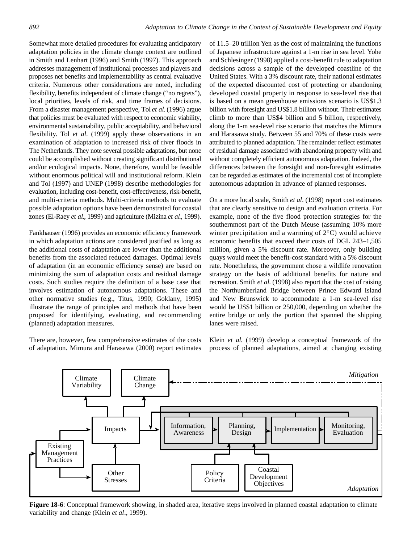Somewhat more detailed procedures for evaluating anticipatory adaptation policies in the climate change context are outlined in Smith and Lenhart (1996) and Smith (1997). This approach addresses management of institutional processes and players and proposes net benefits and implementability as central evaluative criteria. Numerous other considerations are noted, including flexibility, benefits independent of climate change ("no regrets"), local priorities, levels of risk, and time frames of decisions. From a disaster management perspective, Tol et al. (1996) argue that policies must be evaluated with respect to economic viability, environmental sustainability, public acceptability, and behavioral flexibility. Tol *et al*. (1999) apply these observations in an examination of adaptation to increased risk of river floods in The Netherlands. They note several possible adaptations, but none could be accomplished without creating significant distributional and/or ecological impacts. None, therefore, would be feasible without enormous political will and institutional reform. Klein and Tol (1997) and UNEP (1998) describe methodologies for evaluation, including cost-benefit, cost-effectiveness, risk-benefit, and multi-criteria methods. Multi-criteria methods to evaluate possible adaptation options have been demonstrated for coastal zones (El-Raey *et al*., 1999) and agriculture (Mizina *et al*., 1999).

Fankhauser (1996) provides an economic efficiency framework in which adaptation actions are considered justified as long as the additional costs of adaptation are lower than the additional benefits from the associated reduced damages. Optimal levels of adaptation (in an economic efficiency sense) are based on minimizing the sum of adaptation costs and residual damage costs. Such studies require the definition of a base case that involves estimation of autonomous adaptations. These and other normative studies (e.g., Titus, 1990; Goklany, 1995) illustrate the range of principles and methods that have been proposed for identifying, evaluating, and recommending (planned) adaptation measures.

There are, however, few comprehensive estimates of the costs of adaptation. Mimura and Harasawa (2000) report estimates of 11.5–20 trillion Yen as the cost of maintaining the functions of Japanese infrastructure against a 1-m rise in sea level. Yohe and Schlesinger (1998) applied a cost-benefit rule to adaptation decisions across a sample of the developed coastline of the United States. With a 3% discount rate, their national estimates of the expected discounted cost of protecting or abandoning developed coastal property in response to sea-level rise that is based on a mean greenhouse emissions scenario is US\$1.3 billion with foresight and US\$1.8 billion without. Their estimates climb to more than US\$4 billion and 5 billion, respectively, along the 1-m sea-level rise scenario that matches the Mimura and Harasawa study. Between 55 and 70% of these costs were attributed to planned adaptation. The remainder reflect estimates of residual damage associated with abandoning property with and without completely efficient autonomous adaptation. Indeed, the differences between the foresight and non-foresight estimates can be regarded as estimates of the incremental cost of incomplete autonomous adaptation in advance of planned responses.

On a more local scale, Smith *et al*. (1998) report cost estimates that are clearly sensitive to design and evaluation criteria. For example, none of the five flood protection strategies for the southernmost part of the Dutch Meuse (assuming 10% more winter precipitation and a warming of 2°C) would achieve economic benefits that exceed their costs of DGL 243-1,505 million, given a 5% discount rate. Moreover, only building quays would meet the benefit-cost standard with a 5% discount rate. Nonetheless, the government chose a wildlife renovation strategy on the basis of additional benefits for nature and recreation. Smith *et al.* (1998) also report that the cost of raising the Northumberland Bridge between Prince Edward Island and New Brunswick to accommodate a 1-m sea-level rise would be US\$1 billion or 250,000, depending on whether the entire bridge or only the portion that spanned the shipping lanes were raised.

Klein *et al.* (1999) develop a conceptual framework of the process of planned adaptations, aimed at changing existing



**Figure 18-6**: Conceptual framework showing, in shaded area, iterative steps involved in planned coastal adaptation to climate variability and change (Klein *et al*., 1999).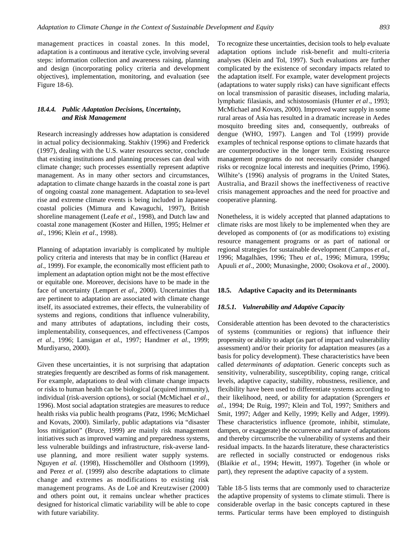management practices in coastal zones. In this model, adaptation is a continuous and iterative cycle, involving several steps: information collection and awareness raising, planning and design (incorporating policy criteria and development objectives), implementation, monitoring, and evaluation (see Figure 18-6).

# *18.4.4. Public Adaptation Decisions, Uncertainty, and Risk Management*

Research increasingly addresses how adaptation is considered in actual policy decisionmaking. Stakhiv (1996) and Frederick (1997), dealing with the U.S. water resources sector, conclude that existing institutions and planning processes can deal with climate change; such processes essentially represent adaptive management. As in many other sectors and circumstances, adaptation to climate change hazards in the coastal zone is part of ongoing coastal zone management. Adaptation to sea-level rise and extreme climate events is being included in Japanese coastal policies (Mimura and Kawaguchi, 1997), British shoreline management (Leafe et al., 1998), and Dutch law and coastal zone management (Koster and Hillen, 1995; Helmer *et al*., 1996; Klein *et al*., 1998).

Planning of adaptation invariably is complicated by multiple policy criteria and interests that may be in conflict (Hareau *et al.*, 1999). For example, the economically most efficient path to implement an adaptation option might not be the most effective or equitable one. Moreover, decisions have to be made in the face of uncertainty (Lempert *et al*., 2000). Uncertainties that are pertinent to adaptation are associated with climate change itself, its associated extremes, their effects, the vulnerability of systems and regions, conditions that influence vulnerability, and many attributes of adaptations, including their costs, implementability, consequences, and effectiveness (Campos *et al*., 1996; Lansigan *et al*., 1997; Handmer *et al*., 1999; Murdiyarso, 2000).

Given these uncertainties, it is not surprising that adaptation strategies frequently are described as forms of risk management. For example, adaptations to deal with climate change impacts or risks to human health can be biological (acquired immunity), individual (risk-aversion options), or social (McMichael *et al*., 1996). Most social adaptation strategies are measures to reduce health risks via public health programs (Patz, 1996; McMichael and Kovats, 2000). Similarly, public adaptations via "disaster loss mitigation" (Bruce, 1999) are mainly risk management initiatives such as improved warning and preparedness systems, less vulnerable buildings and infrastructure, risk-averse landuse planning, and more resilient water supply systems. Nguyen *et al.* (1998), Hisschemöller and Olsthoorn (1999), and Perez *et al*. (1999) also describe adaptations to climate change and extremes as modifications to existing risk management programs. As de Loë and Kreutzwiser (2000) and others point out, it remains unclear whether practices designed for historical climatic variability will be able to cope with future variability.

To recognize these uncertainties, decision tools to help evaluate adaptation options include risk-benefit and multi-criteria analyses (Klein and Tol, 1997). Such evaluations are further complicated by the existence of secondary impacts related to the adaptation itself. For example, water development projects (adaptations to water supply risks) can have significant effects on local transmission of parasitic diseases, including malaria, lymphatic filasiasis, and schistosomiasis (Hunter *et al*., 1993; McMichael and Kovats, 2000). Improved water supply in some rural areas of Asia has resulted in a dramatic increase in Aedes mosquito breeding sites and, consequently, outbreaks of dengue (WHO, 1997). Langen and Tol (1999) provide examples of technical response options to climate hazards that are counterproductive in the longer term. Existing resource management programs do not necessarily consider changed risks or recognize local interests and inequities (Primo, 1996). Wilhite's (1996) analysis of programs in the United States, Australia, and Brazil shows the ineffectiveness of reactive crisis management approaches and the need for proactive and cooperative planning.

Nonetheless, it is widely accepted that planned adaptations to climate risks are most likely to be implemented when they are developed as components of (or as modifications to) existing resource management programs or as part of national or regional strategies for sustainable development (Campos *et al*., 1996; Magalhães, 1996; Theu *et al*., 1996; Mimura, 1999a; Apuuli *et al*., 2000; Munasinghe, 2000; Osokova *et al*., 2000).

# **18.5. Adaptive Capacity and its Determinants**

#### *18.5.1. Vulnerability and Adaptive Capacity*

Considerable attention has been devoted to the characteristics of systems (communities or regions) that influence their propensity or ability to adapt (as part of impact and vulnerability assessment) and/or their priority for adaptation measures (as a basis for policy development). These characteristics have been called *determinants of adaptation*. Generic concepts such as sensitivity, vulnerability, susceptibility, coping range, critical levels, adaptive capacity, stability, robustness, resilience, and flexibility have been used to differentiate systems according to their likelihood, need, or ability for adaptation (Sprengers *et al.*, 1994; De Ruig, 1997; Klein and Tol, 1997; Smithers and Smit, 1997; Adger and Kelly, 1999; Kelly and Adger, 1999). These characteristics influence (promote, inhibit, stimulate, dampen, or exaggerate) the occurrence and nature of adaptations and thereby circumscribe the vulnerability of systems and their residual impacts. In the hazards literature, these characteristics are reflected in socially constructed or endogenous risks (Blaikie *et al.*, 1994; Hewitt, 1997). Together (in whole or part), they represent the adaptive capacity of a system.

Table 18-5 lists terms that are commonly used to characterize the adaptive propensity of systems to climate stimuli. There is considerable overlap in the basic concepts captured in these terms. Particular terms have been employed to distinguish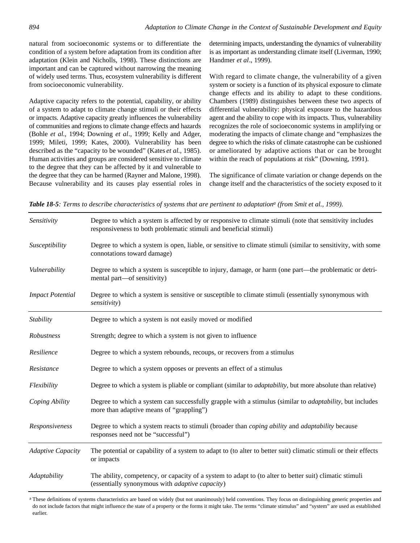natural from socioeconomic systems or to differentiate the condition of a system before adaptation from its condition after adaptation (Klein and Nicholls, 1998). These distinctions are important and can be captured without narrowing the meaning of widely used terms. Thus, ecosystem vulnerability is different from socioeconomic vulnerability.

Adaptive capacity refers to the potential, capability, or ability of a system to adapt to climate change stimuli or their effects or impacts. Adaptive capacity greatly influences the vulnerability of communities and regions to climate change effects and hazards (Bohle *et al*., 1994; Downing *et al*., 1999; Kelly and Adger, 1999; Mileti, 1999; Kates, 2000). Vulnerability has been described as the "capacity to be wounded" (Kates *et al.*, 1985). Human activities and groups are considered sensitive to climate to the degree that they can be affected by it and vulnerable to the degree that they can be harmed (Rayner and Malone, 1998). Because vulnerability and its causes play essential roles in determining impacts, understanding the dynamics of vulnerability is as important as understanding climate itself (Liverman, 1990; Handmer *et al*., 1999).

With regard to climate change, the vulnerability of a given system or society is a function of its physical exposure to climate change effects and its ability to adapt to these conditions. Chambers (1989) distinguishes between these two aspects of differential vulnerability: physical exposure to the hazardous agent and the ability to cope with its impacts. Thus, vulnerability recognizes the role of socioeconomic systems in amplifying or moderating the impacts of climate change and "emphasizes the degree to which the risks of climate catastrophe can be cushioned or ameliorated by adaptive actions that or can be brought within the reach of populations at risk" (Downing, 1991).

The significance of climate variation or change depends on the change itself and the characteristics of the society exposed to it

| Sensitivity              | Degree to which a system is affected by or responsive to climate stimuli (note that sensitivity includes<br>responsiveness to both problematic stimuli and beneficial stimuli) |
|--------------------------|--------------------------------------------------------------------------------------------------------------------------------------------------------------------------------|
| Susceptibility           | Degree to which a system is open, liable, or sensitive to climate stimuli (similar to sensitivity, with some<br>connotations toward damage)                                    |
| Vulnerability            | Degree to which a system is susceptible to injury, damage, or harm (one part—the problematic or detri-<br>mental part—of sensitivity)                                          |
| <b>Impact Potential</b>  | Degree to which a system is sensitive or susceptible to climate stimuli (essentially synonymous with<br>sensitivity)                                                           |
| Stability                | Degree to which a system is not easily moved or modified                                                                                                                       |
| Robustness               | Strength; degree to which a system is not given to influence                                                                                                                   |
| Resilience               | Degree to which a system rebounds, recoups, or recovers from a stimulus                                                                                                        |
| Resistance               | Degree to which a system opposes or prevents an effect of a stimulus                                                                                                           |
| Flexibility              | Degree to which a system is pliable or compliant (similar to <i>adaptability</i> , but more absolute than relative)                                                            |
| Coping Ability           | Degree to which a system can successfully grapple with a stimulus (similar to <i>adaptability</i> , but includes<br>more than adaptive means of "grappling")                   |
| Responsiveness           | Degree to which a system reacts to stimuli (broader than <i>coping ability</i> and <i>adaptability</i> because<br>responses need not be "successful")                          |
| <b>Adaptive Capacity</b> | The potential or capability of a system to adapt to (to alter to better suit) climatic stimuli or their effects<br>or impacts                                                  |
| Adaptability             | The ability, competency, or capacity of a system to adapt to (to alter to better suit) climatic stimuli<br>(essentially synonymous with <i>adaptive capacity</i> )             |

*Table 18-5: Terms to describe characteristics of systems that are pertinent to adaptation<sup>a</sup> (from Smit et al., 1999).*

a These definitions of systems characteristics are based on widely (but not unanimously) held conventions. They focus on distinguishing generic properties and do not include factors that might influence the state of a property or the forms it might take. The terms "climate stimulus" and "system" are used as established earlier.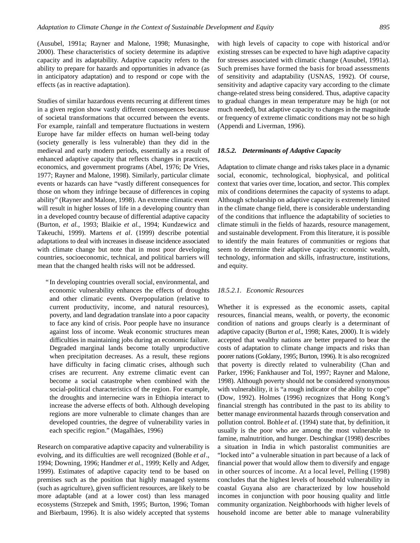(Ausubel, 1991a; Rayner and Malone, 1998; Munasinghe, 2000). These characteristics of society determine its adaptive capacity and its adaptability. Adaptive capacity refers to the ability to prepare for hazards and opportunities in advance (as in anticipatory adaptation) and to respond or cope with the effects (as in reactive adaptation).

Studies of similar hazardous events recurring at different times in a given region show vastly different consequences because of societal transformations that occurred between the events. For example, rainfall and temperature fluctuations in western Europe have far milder effects on human well-being today (society generally is less vulnerable) than they did in the medieval and early modern periods, essentially as a result of enhanced adaptive capacity that reflects changes in practices, economics, and government programs (Abel, 1976; De Vries, 1977; Rayner and Malone, 1998). Similarly, particular climate events or hazards can have "vastly different consequences for those on whom they infringe because of differences in coping ability" (Rayner and Malone, 1998). An extreme climatic event will result in higher losses of life in a developing country than in a developed country because of differential adaptive capacity (Burton, *et al.,* 1993; Blaikie *et al.*, 1994; Kundzewicz and Takeuchi, 1999). Martens *et al*. (1999) describe potential adaptations to deal with increases in disease incidence associated with climate change but note that in most poor developing countries, socioeconomic, technical, and political barriers will mean that the changed health risks will not be addressed.

" In developing countries overall social, environmental, and economic vulnerability enhances the effects of droughts and other climatic events. Overpopulation (relative to current productivity, income, and natural resources), poverty, and land degradation translate into a poor capacity to face any kind of crisis. Poor people have no insurance against loss of income. Weak economic structures mean difficulties in maintaining jobs during an economic failure. Degraded marginal lands become totally unproductive when precipitation decreases. As a result, these regions have difficulty in facing climatic crises, although such crises are recurrent. Any extreme climatic event can become a social catastrophe when combined with the social-political characteristics of the region. For example, the droughts and internecine wars in Ethiopia interact to increase the adverse effects of both. Although developing regions are more vulnerable to climate changes than are developed countries, the degree of vulnerability varies in each specific region." (Magalhães, 1996)

Research on comparative adaptive capacity and vulnerability is evolving, and its difficulties are well recognized (Bohle *et al*., 1994; Downing, 1996; Handmer *et al*., 1999; Kelly and Adger, 1999). Estimates of adaptive capacity tend to be based on premises such as the position that highly managed systems (such as agriculture), given sufficient resources, are likely to be more adaptable (and at a lower cost) than less managed ecosystems (Strzepek and Smith, 1995; Burton, 1996; Toman and Bierbaum, 1996). It is also widely accepted that systems

with high levels of capacity to cope with historical and/or existing stresses can be expected to have high adaptive capacity for stresses associated with climatic change (Ausubel, 1991a). Such premises have formed the basis for broad assessments of sensitivity and adaptability (USNAS, 1992). Of course, sensitivity and adaptive capacity vary according to the climate change-related stress being considered. Thus, adaptive capacity to gradual changes in mean temperature may be high (or not much needed), but adaptive capacity to changes in the magnitude or frequency of extreme climatic conditions may not be so high (Appendi and Liverman, 1996).

#### *18.5.2. Determinants of Adaptive Capacity*

Adaptation to climate change and risks takes place in a dynamic social, economic, technological, biophysical, and political context that varies over time, location, and sector. This complex mix of conditions determines the capacity of systems to adapt. Although scholarship on adaptive capacity is extremely limited in the climate change field, there is considerable understanding of the conditions that influence the adaptability of societies to climate stimuli in the fields of hazards, resource management, and sustainable development. From this literature, it is possible to identify the main features of communities or regions that seem to determine their adaptive capacity: economic wealth, technology, information and skills, infrastructure, institutions, and equity.

## *18.5.2.1. Economic Resources*

Whether it is expressed as the economic assets, capital resources, financial means, wealth, or poverty, the economic condition of nations and groups clearly is a determinant of adaptive capacity (Burton *et al.*, 1998; Kates, 2000). It is widely accepted that wealthy nations are better prepared to bear the costs of adaptation to climate change impacts and risks than poorer nations (Goklany, 1995; Burton, 1996). It is also recognized that poverty is directly related to vulnerability (Chan and Parker, 1996; Fankhauser and Tol, 1997; Rayner and Malone, 1998). Although poverty should not be considered synonymous with vulnerability, it is "a rough indicator of the ability to cope" (Dow, 1992). Holmes (1996) recognizes that Hong Kong's financial strength has contributed in the past to its ability to better manage environmental hazards through conservation and pollution control. Bohle *et al.* (1994) state that, by definition, it usually is the poor who are among the most vulnerable to famine, malnutrition, and hunger. Deschingkar (1998) describes a situation in India in which pastoralist communities are "locked into" a vulnerable situation in part because of a lack of financial power that would allow them to diversify and engage in other sources of income. At a local level, Pelling (1998) concludes that the highest levels of household vulnerability in coastal Guyana also are characterized by low household incomes in conjunction with poor housing quality and little community organization. Neighborhoods with higher levels of household income are better able to manage vulnerability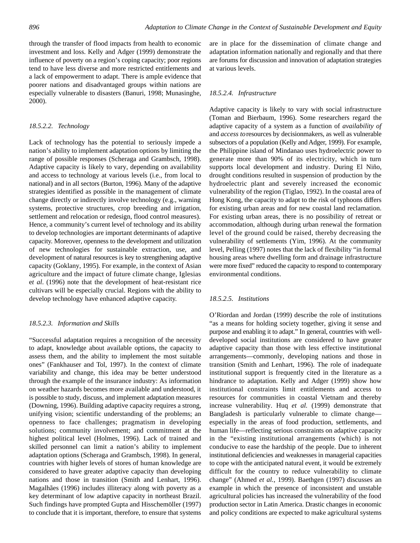through the transfer of flood impacts from health to economic investment and loss. Kelly and Adger (1999) demonstrate the influence of poverty on a region's coping capacity; poor regions tend to have less diverse and more restricted entitlements and a lack of empowerment to adapt. There is ample evidence that poorer nations and disadvantaged groups within nations are especially vulnerable to disasters (Banuri, 1998; Munasinghe, 2000).

# *18.5.2.2. Technology*

Lack of technology has the potential to seriously impede a nation's ability to implement adaptation options by limiting the range of possible responses (Scheraga and Grambsch, 1998). Adaptive capacity is likely to vary, depending on availability and access to technology at various levels (i.e., from local to national) and in all sectors (Burton, 1996). Many of the adaptive strategies identified as possible in the management of climate change directly or indirectly involve technology (e.g., warning systems, protective structures, crop breeding and irrigation, settlement and relocation or redesign, flood control measures). Hence, a community's current level of technology and its ability to develop technologies are important determinants of adaptive capacity. Moreover, openness to the development and utilization of new technologies for sustainable extraction, use, and development of natural resources is key to strengthening adaptive capacity (Goklany, 1995). For example, in the context of Asian agriculture and the impact of future climate change, Iglesias e*t al*. (1996) note that the development of heat-resistant rice cultivars will be especially crucial. Regions with the ability to develop technology have enhanced adaptive capacity.

## *18.5.2.3. Information and Skills*

"Successful adaptation requires a recognition of the necessity to adapt, knowledge about available options, the capacity to assess them, and the ability to implement the most suitable ones" (Fankhauser and Tol, 1997). In the context of climate variability and change, this idea may be better understood through the example of the insurance industry: As information on weather hazards becomes more available and understood, it is possible to study, discuss, and implement adaptation measures (Downing, 1996). Building adaptive capacity requires a strong, unifying vision; scientific understanding of the problems; an openness to face challenges; pragmatism in developing solutions; community involvement; and commitment at the highest political level (Holmes, 1996). Lack of trained and skilled personnel can limit a nation's ability to implement adaptation options (Scheraga and Grambsch, 1998). In general, countries with higher levels of stores of human knowledge are considered to have greater adaptive capacity than developing nations and those in transition (Smith and Lenhart, 1996). Magalhães (1996) includes illiteracy along with poverty as a key determinant of low adaptive capacity in northeast Brazil. Such findings have prompted Gupta and Hisschemöller (1997) to conclude that it is important, therefore, to ensure that systems are in place for the dissemination of climate change and adaptation information nationally and regionally and that there are forums for discussion and innovation of adaptation strategies at various levels.

#### *18.5.2.4. Infrastructure*

Adaptive capacity is likely to vary with social infrastructure (Toman and Bierbaum, 1996). Some researchers regard the adaptive capacity of a system as a function of *availability of* and *access to*resources by decisionmakers, as well as vulnerable subsectors of a population (Kelly and Adger, 1999). For example, the Philippine island of Mindanao uses hydroelectric power to generate more than 90% of its electricity, which in turn supports local development and industry. During El Niño, drought conditions resulted in suspension of production by the hydroelectric plant and severely increased the economic vulnerability of the region (Tiglao, 1992). In the coastal area of Hong Kong, the capacity to adapt to the risk of typhoons differs for existing urban areas and for new coastal land reclamation. For existing urban areas, there is no possibility of retreat or accommodation, although during urban renewal the formation level of the ground could be raised, thereby decreasing the vulnerability of settlements (Yim, 1996). At the community level, Pelling (1997) notes that the lack of flexibility "in formal housing areas where dwelling form and drainage infrastructure were more fixed" reduced the capacity to respond to contemporary environmental conditions.

# *18.5.2.5. Institutions*

O'Riordan and Jordan (1999) describe the role of institutions "as a means for holding society together, giving it sense and purpose and enabling it to adapt." In general, countries with welldeveloped social institutions are considered to have greater adaptive capacity than those with less effective institutional arrangements—commonly, developing nations and those in transition (Smith and Lenhart, 1996). The role of inadequate institutional support is frequently cited in the literature as a hindrance to adaptation. Kelly and Adger (1999) show how institutional constraints limit entitlements and access to resources for communities in coastal Vietnam and thereby increase vulnerability. Huq *et al.* (1999) demonstrate that Bangladesh is particularly vulnerable to climate change especially in the areas of food production, settlements, and human life—reflecting serious constraints on adaptive capacity in the "existing institutional arrangements (which) is not conducive to ease the hardship of the people. Due to inherent institutional deficiencies and weaknesses in managerial capacities to cope with the anticipated natural event, it would be extremely difficult for the country to reduce vulnerability to climate change" (Ahmed *et al.*, 1999). Baethgen (1997) discusses an example in which the presence of inconsistent and unstable agricultural policies has increased the vulnerability of the food production sector in Latin America. Drastic changes in economic and policy conditions are expected to make agricultural systems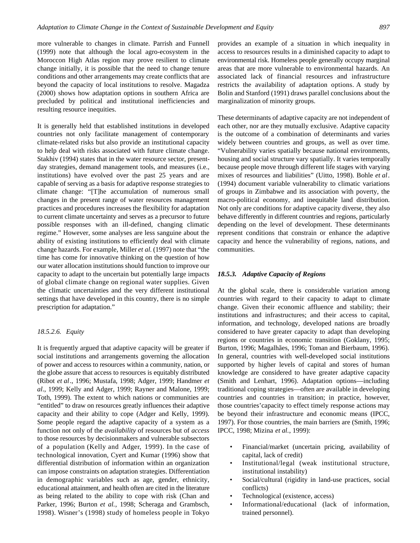more vulnerable to changes in climate. Parrish and Funnell (1999) note that although the local agro-ecosystem in the Moroccon High Atlas region may prove resilient to climate change initially, it is possible that the need to change tenure conditions and other arrangements may create conflicts that are beyond the capacity of local institutions to resolve. Magadza (2000) shows how adaptation options in southern Africa are precluded by political and institutional inefficiencies and resulting resource inequities.

It is generally held that established institutions in developed countries not only facilitate management of contemporary climate-related risks but also provide an institutional capacity to help deal with risks associated with future climate change. Stakhiv (1994) states that in the water resource sector, presentday strategies, demand management tools, and measures (i.e., institutions) have evolved over the past 25 years and are capable of serving as a basis for adaptive response strategies to climate change: "[T]he accumulation of numerous small changes in the present range of water resources management practices and procedures increases the flexibility for adaptation to current climate uncertainty and serves as a precursor to future possible responses with an ill-defined, changing climatic regime." However, some analyses are less sanguine about the ability of existing institutions to efficiently deal with climate change hazards. For example, Miller *et al.* (1997) note that "the time has come for innovative thinking on the question of how our water allocation institutions should function to improve our capacity to adapt to the uncertain but potentially large impacts of global climate change on regional water supplies. Given the climatic uncertainties and the very different institutional settings that have developed in this country, there is no simple prescription for adaptation."

## *18.5.2.6. Equity*

It is frequently argued that adaptive capacity will be greater if social institutions and arrangements governing the allocation of power and access to resources within a community, nation, or the globe assure that access to resources is equitably distributed (Ribot *et al*., 1996; Mustafa, 1998; Adger, 1999; Handmer *et al*., 1999; Kelly and Adger, 1999; Rayner and Malone, 1999; Toth, 1999). The extent to which nations or communities are "entitled" to draw on resources greatly influences their adaptive capacity and their ability to cope (Adger and Kelly, 1999). Some people regard the adaptive capacity of a system as a function not only of the *availability* of resources but of *access* to those resources by decisionmakers and vulnerable subsectors of a population (Kelly and Adger, 1999). In the case of technological innovation, Cyert and Kumar (1996) show that differential distribution of information within an organization can impose constraints on adaptation strategies. Differentiation in demographic variables such as age, gender, ethnicity, educational attainment, and health often are cited in the literature as being related to the ability to cope with risk (Chan and Parker, 1996; Burton *et al.*, 1998; Scheraga and Grambsch, 1998). Wisner's (1998) study of homeless people in Tokyo provides an example of a situation in which inequality in access to resources results in a diminished capacity to adapt to environmental risk. Homeless people generally occupy marginal areas that are more vulnerable to environmental hazards. An associated lack of financial resources and infrastructure restricts the availability of adaptation options. A study by Bolin and Stanford (1991) draws parallel conclusions about the marginalization of minority groups.

These determinants of adaptive capacity are not independent of each other, nor are they mutually exclusive. Adaptive capacity is the outcome of a combination of determinants and varies widely between countries and groups, as well as over time. "Vulnerability varies spatially because national environments, housing and social structure vary spatially. It varies temporally because people move through different life stages with varying mixes of resources and liabilities" (Uitto, 1998). Bohle *et al*. (1994) document variable vulnerability to climatic variations of groups in Zimbabwe and its association with poverty, the macro-political economy, and inequitable land distribution. Not only are conditions for adaptive capacity diverse, they also behave differently in different countries and regions, particularly depending on the level of development. These determinants represent conditions that constrain or enhance the adaptive capacity and hence the vulnerability of regions, nations, and communities.

#### *18.5.3. Adaptive Capacity of Regions*

At the global scale, there is considerable variation among countries with regard to their capacity to adapt to climate change. Given their economic affluence and stability; their institutions and infrastructures; and their access to capital, information, and technology, developed nations are broadly considered to have greater capacity to adapt than developing regions or countries in economic transition (Goklany, 1995; Burton, 1996; Magalhães, 1996; Toman and Bierbaum, 1996). In general, countries with well-developed social institutions supported by higher levels of capital and stores of human knowledge are considered to have greater adaptive capacity (Smith and Lenhart, 1996). Adaptation options—including traditional coping strategies—often are available in developing countries and countries in transition; in practice, however, those countries'capacity to effect timely response actions may be beyond their infrastructure and economic means (IPCC, 1997). For those countries, the main barriers are (Smith, 1996; IPCC, 1998; Mizina *et al.*, 1999):

- Financial/market (uncertain pricing, availability of capital, lack of credit)
- Institutional/legal (weak institutional structure, institutional instability)
- Social/cultural (rigidity in land-use practices, social conflicts)
- Technological (existence, access)
- Informational/educational (lack of information, trained personnel).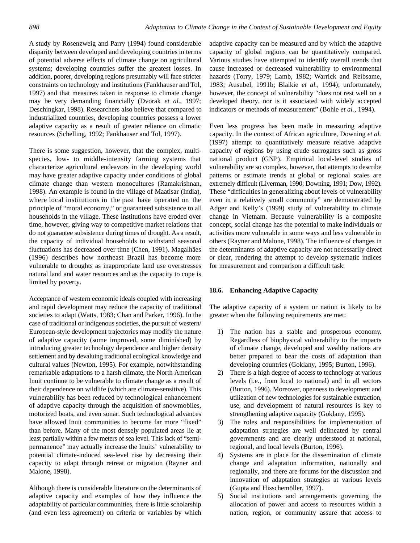A study by Rosenzweig and Parry (1994) found considerable disparity between developed and developing countries in terms of potential adverse effects of climate change on agricultural systems; developing countries suffer the greatest losses. In addition, poorer, developing regions presumably will face stricter constraints on technology and institutions (Fankhauser and Tol, 1997) and that measures taken in response to climate change may be very demanding financially (Dvorak *et al.*, 1997; Deschingkar, 1998). Researchers also believe that compared to industrialized countries, developing countries possess a lower adaptive capacity as a result of greater reliance on climatic resources (Schelling, 1992; Fankhauser and Tol, 1997).

There is some suggestion, however, that the complex, multispecies, low- to middle-intensity farming systems that characterize agricultural endeavors in the developing world may have greater adaptive capacity under conditions of global climate change than western monocultures (Ramakrishnan, 1998). An example is found in the village of Maatisar (India), where local institutions in the past have operated on the principle of "moral economy," or guaranteed subsistence to all households in the village. These institutions have eroded over time, however, giving way to competitive market relations that do not guarantee subsistence during times of drought. As a result, the capacity of individual households to withstand seasonal fluctuations has decreased over time (Chen, 1991). Magalhães (1996) describes how northeast Brazil has become more vulnerable to droughts as inappropriate land use overstresses natural land and water resources and as the capacity to cope is limited by poverty.

Acceptance of western economic ideals coupled with increasing and rapid development may reduce the capacity of traditional societies to adapt (Watts, 1983; Chan and Parker, 1996). In the case of traditional or indigenous societies, the pursuit of western/ European-style development trajectories may modify the nature of adaptive capacity (some improved, some diminished) by introducing greater technology dependence and higher density settlement and by devaluing traditional ecological knowledge and cultural values (Newton, 1995). For example, notwithstanding remarkable adaptations to a harsh climate, the North American Inuit continue to be vulnerable to climate change as a result of their dependence on wildlife (which are climate-sensitive). This vulnerability has been reduced by technological enhancement of adaptive capacity through the acquisition of snowmobiles, motorized boats, and even sonar. Such technological advances have allowed Inuit communities to become far more "fixed" than before. Many of the most densely populated areas lie at least partially within a few meters of sea level. This lack of "semipermanence" may actually increase the Inuits' vulnerability to potential climate-induced sea-level rise by decreasing their capacity to adapt through retreat or migration (Rayner and Malone, 1998).

Although there is considerable literature on the determinants of adaptive capacity and examples of how they influence the adaptability of particular communities, there is little scholarship (and even less agreement) on criteria or variables by which

adaptive capacity can be measured and by which the adaptive capacity of global regions can be quantitatively compared. Various studies have attempted to identify overall trends that cause increased or decreased vulnerability to environmental hazards (Torry, 1979; Lamb, 1982; Warrick and Reibsame, 1983; Ausubel, 1991b; Blaikie *et al.,* 1994); unfortunately, however, the concept of vulnerability "does not rest well on a developed theory, nor is it associated with widely accepted indicators or methods of measurement" (Bohle *et al.*, 1994).

Even less progress has been made in measuring adaptive capacity. In the context of African agriculture, Downing *et al.* (1997) attempt to quantitatively measure relative adaptive capacity of regions by using crude surrogates such as gross national product (GNP). Empirical local-level studies of vulnerability are so complex, however, that attempts to describe patterns or estimate trends at global or regional scales are extremely difficult (Liverman, 1990; Downing, 1991; Dow, 1992). These "difficulties in generalizing about levels of vulnerability even in a relatively small community" are demonstrated by Adger and Kelly's (1999) study of vulnerability to climate change in Vietnam. Because vulnerability is a composite concept, social change has the potential to make individuals or activities more vulnerable in some ways and less vulnerable in others (Rayner and Malone, 1998). The influence of changes in the determinants of adaptive capacity are not necessarily direct or clear, rendering the attempt to develop systematic indices for measurement and comparison a difficult task.

## **18.6. Enhancing Adaptive Capacity**

The adaptive capacity of a system or nation is likely to be greater when the following requirements are met:

- 1) The nation has a stable and prosperous economy. Regardless of biophysical vulnerability to the impacts of climate change, developed and wealthy nations are better prepared to bear the costs of adaptation than developing countries (Goklany, 1995; Burton, 1996).
- 2) There is a high degree of access to technology at various levels (i.e., from local to national) and in all sectors (Burton, 1996). Moreover, openness to development and utilization of new technologies for sustainable extraction, use, and development of natural resources is key to strengthening adaptive capacity (Goklany, 1995).
- 3) The roles and responsibilities for implementation of adaptation strategies are well delineated by central governments and are clearly understood at national, regional, and local levels (Burton, 1996).
- 4) Systems are in place for the dissemination of climate change and adaptation information, nationally and regionally, and there are forums for the discussion and innovation of adaptation strategies at various levels (Gupta and Hisschemöller, 1997).
- 5) Social institutions and arrangements governing the allocation of power and access to resources within a nation, region, or community assure that access to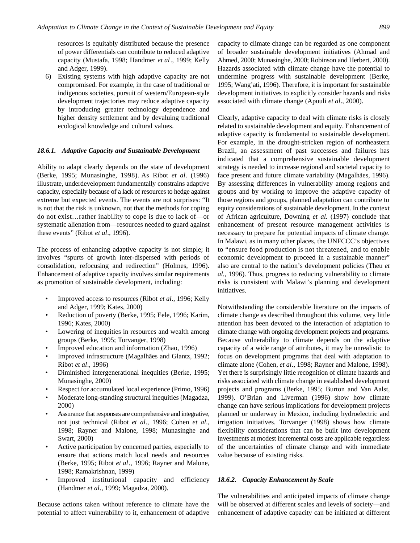resources is equitably distributed because the presence of power differentials can contribute to reduced adaptive capacity (Mustafa, 1998; Handmer *et al*., 1999; Kelly and Adger, 1999).

6) Existing systems with high adaptive capacity are not compromised. For example, in the case of traditional or indigenous societies, pursuit of western/European-style development trajectories may reduce adaptive capacity by introducing greater technology dependence and higher density settlement and by devaluing traditional ecological knowledge and cultural values.

#### *18.6.1. Adaptive Capacity and Sustainable Development*

Ability to adapt clearly depends on the state of development (Berke, 1995; Munasinghe, 1998). As Ribot *et al*. (1996) illustrate, underdevelopment fundamentally constrains adaptive capacity, especially because of a lack of resources to hedge against extreme but expected events. The events are not surprises: "It is not that the risk is unknown, not that the methods for coping do not exist…rather inability to cope is due to lack of—or systematic alienation from—resources needed to guard against these events" (Ribot *et al*., 1996).

The process of enhancing adaptive capacity is not simple; it involves "spurts of growth inter-dispersed with periods of consolidation, refocusing and redirection" (Holmes, 1996). Enhancement of adaptive capacity involves similar requirements as promotion of sustainable development, including:

- Improved access to resources (Ribot *et al*., 1996; Kelly and Adger, 1999; Kates, 2000)
- Reduction of poverty (Berke, 1995; Eele, 1996; Karim, 1996; Kates, 2000)
- Lowering of inequities in resources and wealth among groups (Berke, 1995; Torvanger, 1998)
- Improved education and information (Zhao, 1996)
- Improved infrastructure (Magalhães and Glantz, 1992; Ribot *et al*., 1996)
- Diminished intergenerational inequities (Berke, 1995; Munasinghe, 2000)
- Respect for accumulated local experience (Primo, 1996)
- Moderate long-standing structural inequities (Magadza, 2000)
- Assurance that responses are comprehensive and integrative, not just technical (Ribot *et al*., 1996; Cohen *et al*., 1998; Rayner and Malone, 1998; Munasinghe and Swart, 2000)
- Active participation by concerned parties, especially to ensure that actions match local needs and resources (Berke, 1995; Ribot *et al*., 1996; Rayner and Malone, 1998; Ramakrishnan, 1999)
- Improved institutional capacity and efficiency (Handmer *et al*., 1999; Magadza, 2000).

Because actions taken without reference to climate have the potential to affect vulnerability to it, enhancement of adaptive capacity to climate change can be regarded as one component of broader sustainable development initiatives (Ahmad and Ahmed, 2000; Munasinghe, 2000; Robinson and Herbert, 2000). Hazards associated with climate change have the potential to undermine progress with sustainable development (Berke, 1995; Wang'ati, 1996). Therefore, it is important for sustainable development initiatives to explicitly consider hazards and risks associated with climate change (Apuuli *et al*., 2000).

Clearly, adaptive capacity to deal with climate risks is closely related to sustainable development and equity. Enhancement of adaptive capacity is fundamental to sustainable development. For example, in the drought-stricken region of northeastern Brazil, an assessment of past successes and failures has indicated that a comprehensive sustainable development strategy is needed to increase regional and societal capacity to face present and future climate variability (Magalhães, 1996). By assessing differences in vulnerability among regions and groups and by working to improve the adaptive capacity of those regions and groups, planned adaptation can contribute to equity considerations of sustainable development. In the context of African agriculture, Downing *et al.* (1997) conclude that enhancement of present resource management activities is necessary to prepare for potential impacts of climate change. In Malawi, as in many other places, the UNFCCC's objectives to "ensure food production is not threatened, and to enable economic development to proceed in a sustainable manner" also are central to the nation's development policies (Theu *et al.*, 1996). Thus, progress to reducing vulnerability to climate risks is consistent with Malawi's planning and development initiatives.

Notwithstanding the considerable literature on the impacts of climate change as described throughout this volume, very little attention has been devoted to the interaction of adaptation to climate change with ongoing development projects and programs. Because vulnerability to climate depends on the adaptive capacity of a wide range of attributes, it may be unrealistic to focus on development programs that deal with adaptation to climate alone (Cohen, *et al*., 1998; Rayner and Malone, 1998). Yet there is surprisingly little recognition of climate hazards and risks associated with climate change in established development projects and programs (Berke, 1995; Burton and Van Aalst, 1999). O'Brian and Liverman (1996) show how climate change can have serious implications for development projects planned or underway in Mexico, including hydroelectric and irrigation initiatives. Torvanger (1998) shows how climate flexibility considerations that can be built into development investments at modest incremental costs are applicable regardless of the uncertainties of climate change and with immediate value because of existing risks.

# *18.6.2. Capacity Enhancement by Scale*

The vulnerabilities and anticipated impacts of climate change will be observed at different scales and levels of society—and enhancement of adaptive capacity can be initiated at different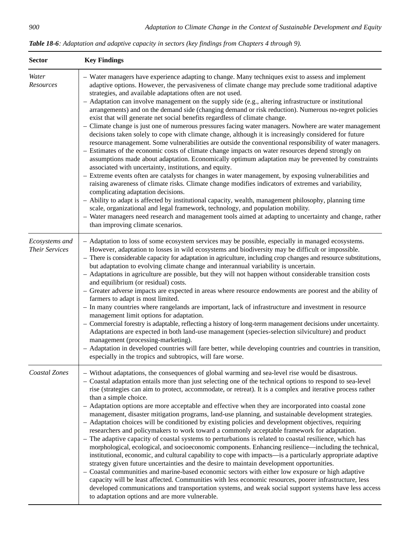|  |  |  |  |  | Table 18-6: Adaptation and adaptive capacity in sectors (key findings from Chapters 4 through 9). |
|--|--|--|--|--|---------------------------------------------------------------------------------------------------|
|  |  |  |  |  |                                                                                                   |

| <b>Sector</b>                           | <b>Key Findings</b>                                                                                                                                                                                                                                                                                                                                                                                                                                                                                                                                                                                                                                                                                                                                                                                                                                                                                                                                                                                                                                                                                                                                                                                                                                                                                                                                                                                                                                                                                                                                                                                                                                                                                                                         |  |  |  |  |
|-----------------------------------------|---------------------------------------------------------------------------------------------------------------------------------------------------------------------------------------------------------------------------------------------------------------------------------------------------------------------------------------------------------------------------------------------------------------------------------------------------------------------------------------------------------------------------------------------------------------------------------------------------------------------------------------------------------------------------------------------------------------------------------------------------------------------------------------------------------------------------------------------------------------------------------------------------------------------------------------------------------------------------------------------------------------------------------------------------------------------------------------------------------------------------------------------------------------------------------------------------------------------------------------------------------------------------------------------------------------------------------------------------------------------------------------------------------------------------------------------------------------------------------------------------------------------------------------------------------------------------------------------------------------------------------------------------------------------------------------------------------------------------------------------|--|--|--|--|
| Water<br>Resources                      | - Water managers have experience adapting to change. Many techniques exist to assess and implement<br>adaptive options. However, the pervasiveness of climate change may preclude some traditional adaptive<br>strategies, and available adaptations often are not used.<br>- Adaptation can involve management on the supply side (e.g., altering infrastructure or institutional<br>arrangements) and on the demand side (changing demand or risk reduction). Numerous no-regret policies<br>exist that will generate net social benefits regardless of climate change.<br>- Climate change is just one of numerous pressures facing water managers. Nowhere are water management<br>decisions taken solely to cope with climate change, although it is increasingly considered for future<br>resource management. Some vulnerabilities are outside the conventional responsibility of water managers.<br>- Estimates of the economic costs of climate change impacts on water resources depend strongly on<br>assumptions made about adaptation. Economically optimum adaptation may be prevented by constraints<br>associated with uncertainty, institutions, and equity.<br>- Extreme events often are catalysts for changes in water management, by exposing vulnerabilities and<br>raising awareness of climate risks. Climate change modifies indicators of extremes and variability,<br>complicating adaptation decisions.<br>- Ability to adapt is affected by institutional capacity, wealth, management philosophy, planning time<br>scale, organizational and legal framework, technology, and population mobility.<br>- Water managers need research and management tools aimed at adapting to uncertainty and change, rather |  |  |  |  |
| Ecosystems and<br><b>Their Services</b> | - Adaptation to loss of some ecosystem services may be possible, especially in managed ecosystems.<br>However, adaptation to losses in wild ecosystems and biodiversity may be difficult or impossible.<br>- There is considerable capacity for adaptation in agriculture, including crop changes and resource substitutions,<br>but adaptation to evolving climate change and interannual variability is uncertain.<br>- Adaptations in agriculture are possible, but they will not happen without considerable transition costs<br>and equilibrium (or residual) costs.<br>- Greater adverse impacts are expected in areas where resource endowments are poorest and the ability of<br>farmers to adapt is most limited.<br>- In many countries where rangelands are important, lack of infrastructure and investment in resource<br>management limit options for adaptation.<br>- Commercial forestry is adaptable, reflecting a history of long-term management decisions under uncertainty.<br>Adaptations are expected in both land-use management (species-selection silviculture) and product<br>management (processing-marketing).<br>- Adaptation in developed countries will fare better, while developing countries and countries in transition,<br>especially in the tropics and subtropics, will fare worse.                                                                                                                                                                                                                                                                                                                                                                                                                  |  |  |  |  |
| Coastal Zones                           | - Without adaptations, the consequences of global warming and sea-level rise would be disastrous.<br>- Coastal adaptation entails more than just selecting one of the technical options to respond to sea-level<br>rise (strategies can aim to protect, accommodate, or retreat). It is a complex and iterative process rather<br>than a simple choice.<br>- Adaptation options are more acceptable and effective when they are incorporated into coastal zone<br>management, disaster mitigation programs, land-use planning, and sustainable development strategies.<br>- Adaptation choices will be conditioned by existing policies and development objectives, requiring<br>researchers and policymakers to work toward a commonly acceptable framework for adaptation.<br>- The adaptive capacity of coastal systems to perturbations is related to coastal resilience, which has<br>morphological, ecological, and socioeconomic components. Enhancing resilience—including the technical,<br>institutional, economic, and cultural capability to cope with impacts—is a particularly appropriate adaptive<br>strategy given future uncertainties and the desire to maintain development opportunities.<br>- Coastal communities and marine-based economic sectors with either low exposure or high adaptive<br>capacity will be least affected. Communities with less economic resources, poorer infrastructure, less<br>developed communications and transportation systems, and weak social support systems have less access<br>to adaptation options and are more vulnerable.                                                                                                                                                    |  |  |  |  |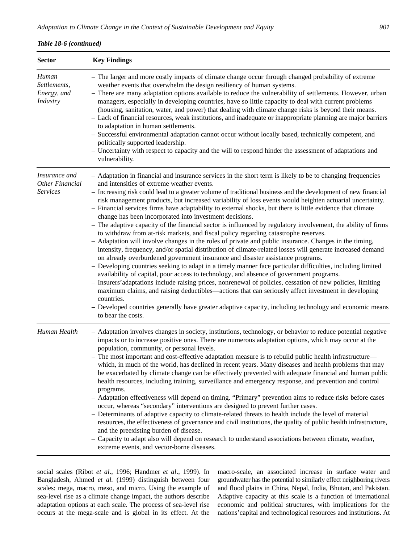# *Table 18-6 (continued)*

| <b>Sector</b>                                       | <b>Key Findings</b>                                                                                                                                                                                                                                                                                                                                                                                                                                                                                                                                                                                                                                                                                                                                                                                                                                                                                                                                                                                                                                                                                                                                                                                                                                                                                                                                                                                                                                                                                                                                                                                                                                           |
|-----------------------------------------------------|---------------------------------------------------------------------------------------------------------------------------------------------------------------------------------------------------------------------------------------------------------------------------------------------------------------------------------------------------------------------------------------------------------------------------------------------------------------------------------------------------------------------------------------------------------------------------------------------------------------------------------------------------------------------------------------------------------------------------------------------------------------------------------------------------------------------------------------------------------------------------------------------------------------------------------------------------------------------------------------------------------------------------------------------------------------------------------------------------------------------------------------------------------------------------------------------------------------------------------------------------------------------------------------------------------------------------------------------------------------------------------------------------------------------------------------------------------------------------------------------------------------------------------------------------------------------------------------------------------------------------------------------------------------|
| Human<br>Settlements,<br>Energy, and<br>Industry    | - The larger and more costly impacts of climate change occur through changed probability of extreme<br>weather events that overwhelm the design resiliency of human systems.<br>- There are many adaptation options available to reduce the vulnerability of settlements. However, urban<br>managers, especially in developing countries, have so little capacity to deal with current problems<br>(housing, sanitation, water, and power) that dealing with climate change risks is beyond their means.<br>- Lack of financial resources, weak institutions, and inadequate or inappropriate planning are major barriers<br>to adaptation in human settlements.<br>- Successful environmental adaptation cannot occur without locally based, technically competent, and<br>politically supported leadership.<br>- Uncertainty with respect to capacity and the will to respond hinder the assessment of adaptations and<br>vulnerability.                                                                                                                                                                                                                                                                                                                                                                                                                                                                                                                                                                                                                                                                                                                    |
| Insurance and<br>Other Financial<br><b>Services</b> | - Adaptation in financial and insurance services in the short term is likely to be to changing frequencies<br>and intensities of extreme weather events.<br>- Increasing risk could lead to a greater volume of traditional business and the development of new financial<br>risk management products, but increased variability of loss events would heighten actuarial uncertainty.<br>- Financial services firms have adaptability to external shocks, but there is little evidence that climate<br>change has been incorporated into investment decisions.<br>- The adaptive capacity of the financial sector is influenced by regulatory involvement, the ability of firms<br>to withdraw from at-risk markets, and fiscal policy regarding catastrophe reserves.<br>- Adaptation will involve changes in the roles of private and public insurance. Changes in the timing,<br>intensity, frequency, and/or spatial distribution of climate-related losses will generate increased demand<br>on already overburdened government insurance and disaster assistance programs.<br>- Developing countries seeking to adapt in a timely manner face particular difficulties, including limited<br>availability of capital, poor access to technology, and absence of government programs.<br>- Insurers' adaptations include raising prices, nonrenewal of policies, cessation of new policies, limiting<br>maximum claims, and raising deductibles—actions that can seriously affect investment in developing<br>countries.<br>- Developed countries generally have greater adaptive capacity, including technology and economic means<br>to bear the costs. |
| Human Health                                        | - Adaptation involves changes in society, institutions, technology, or behavior to reduce potential negative<br>impacts or to increase positive ones. There are numerous adaptation options, which may occur at the<br>population, community, or personal levels.<br>- The most important and cost-effective adaptation measure is to rebuild public health infrastructure-<br>which, in much of the world, has declined in recent years. Many diseases and health problems that may<br>be exacerbated by climate change can be effectively prevented with adequate financial and human public<br>health resources, including training, surveillance and emergency response, and prevention and control<br>programs.<br>- Adaptation effectiveness will depend on timing. "Primary" prevention aims to reduce risks before cases<br>occur, whereas "secondary" interventions are designed to prevent further cases.<br>- Determinants of adaptive capacity to climate-related threats to health include the level of material<br>resources, the effectiveness of governance and civil institutions, the quality of public health infrastructure,<br>and the preexisting burden of disease.<br>- Capacity to adapt also will depend on research to understand associations between climate, weather,<br>extreme events, and vector-borne diseases.                                                                                                                                                                                                                                                                                                             |

social scales (Ribot *et al*., 1996; Handmer *et al*., 1999). In Bangladesh, Ahmed *et al.* (1999) distinguish between four scales: mega, macro, meso, and micro. Using the example of sea-level rise as a climate change impact, the authors describe adaptation options at each scale. The process of sea-level rise occurs at the mega-scale and is global in its effect. At the macro-scale, an associated increase in surface water and groundwater has the potential to similarly effect neighboring rivers and flood plains in China, Nepal, India, Bhutan, and Pakistan. Adaptive capacity at this scale is a function of international economic and political structures, with implications for the nations'capital and technological resources and institutions. At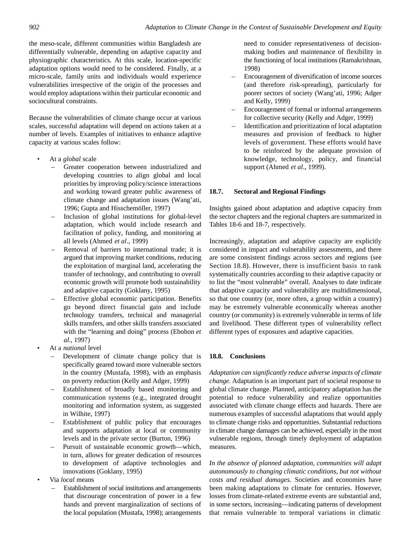the meso-scale, different communities within Bangladesh are differentially vulnerable, depending on adaptive capacity and physiographic characteristics. At this scale, location-specific adaptation options would need to be considered. Finally, at a micro-scale, family units and individuals would experience vulnerabilities irrespective of the origin of the processes and would employ adaptations within their particular economic and sociocultural constraints.

Because the vulnerabilities of climate change occur at various scales, successful adaptation will depend on actions taken at a number of levels. Examples of initiatives to enhance adaptive capacity at various scales follow:

- At a *global* scale
	- Greater cooperation between industrialized and developing countries to align global and local priorities by improving policy/science interactions and working toward greater public awareness of climate change and adaptation issues (Wang'ati, 1996; Gupta and Hisschemöller, 1997)
	- Inclusion of global institutions for global-level adaptation, which would include research and facilitation of policy, funding, and monitoring at all levels (Ahmed *et al*., 1999)
	- Removal of barriers to international trade; it is argued that improving market conditions, reducing the exploitation of marginal land, accelerating the transfer of technology, and contributing to overall economic growth will promote both sustainability and adaptive capacity (Goklany, 1995)
	- Effective global economic participation. Benefits go beyond direct financial gain and include technology transfers, technical and managerial skills transfers, and other skills transfers associated with the "learning and doing" process (Ebohon *et al*., 1997)
- At a *national* level
	- Development of climate change policy that is specifically geared toward more vulnerable sectors in the country (Mustafa, 1998), with an emphasis on poverty reduction (Kelly and Adger, 1999)
	- Establishment of broadly based monitoring and communication systems (e.g., integrated drought monitoring and information system, as suggested in Wilhite, 1997)
	- Establishment of public policy that encourages and supports adaptation at local or community levels and in the private sector (Burton, 1996)
	- Pursuit of sustainable economic growth—which, in turn, allows for greater dedication of resources to development of adaptive technologies and innovations (Goklany, 1995)
- Via *local* means
	- Establishment of social institutions and arrangements that discourage concentration of power in a few hands and prevent marginalization of sections of the local population (Mustafa, 1998); arrangements

need to consider representativeness of decisionmaking bodies and maintenance of flexibility in the functioning of local institutions (Ramakrishnan, 1998)

- Encouragement of diversification of income sources (and therefore risk-spreading), particularly for poorer sectors of society (Wang'ati, 1996; Adger and Kelly, 1999)
- Encouragement of formal or informal arrangements for collective security (Kelly and Adger, 1999)
- Identification and prioritization of local adaptation measures and provision of feedback to higher levels of government. These efforts would have to be reinforced by the adequate provision of knowledge, technology, policy, and financial support (Ahmed *et al.*, 1999).

# **18.7. Sectoral and Regional Findings**

Insights gained about adaptation and adaptive capacity from the sector chapters and the regional chapters are summarized in Tables 18-6 and 18-7, respectively.

Increasingly, adaptation and adaptive capacity are explicitly considered in impact and vulnerability assessments, and there are some consistent findings across sectors and regions (see Section 18.8). However, there is insufficient basis to rank systematically countries according to their adaptive capacity or to list the "most vulnerable" overall. Analyses to date indicate that adaptive capacity and vulnerability are multidimensional, so that one country (or, more often, a group within a country) may be extremely vulnerable economically whereas another country (or community) is extremely vulnerable in terms of life and livelihood. These different types of vulnerability reflect different types of exposures and adaptive capacities.

# **18.8. Conclusions**

*Adaptation can significantly reduce adverse impacts of climate change.* Adaptation is an important part of societal response to global climate change. Planned, anticipatory adaptation has the potential to reduce vulnerability and realize opportunities associated with climate change effects and hazards. There are numerous examples of successful adaptations that would apply to climate change risks and opportunities. Substantial reductions in climate change damages can be achieved, especially in the most vulnerable regions, through timely deployment of adaptation measures.

*In the absence of planned adaptation, communities will adapt autonomously to changing climatic conditions, but not without costs and residual damages.* Societies and economies have been making adaptations to climate for centuries. However, losses from climate-related extreme events are substantial and, in some sectors, increasing—indicating patterns of development that remain vulnerable to temporal variations in climatic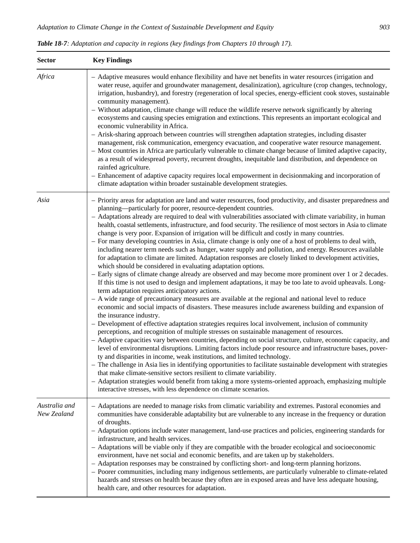*Table 18-7: Adaptation and capacity in regions (key findings from Chapters 10 through 17).*

| <b>Sector</b>                | <b>Key Findings</b>                                                                                                                                                                                                                                                                                                                                                                                                                                                                                                                                                                                                                                                                                                                                                                                                                                                                                                                                                                                                                                                                                                                                                                                                                                                                                                                                                                                                                                                                                                                                                                                                                                                                                                                                                                                                                                                                                                                                                                                                                                                                                                                                                                                                                                                                                                                        |
|------------------------------|--------------------------------------------------------------------------------------------------------------------------------------------------------------------------------------------------------------------------------------------------------------------------------------------------------------------------------------------------------------------------------------------------------------------------------------------------------------------------------------------------------------------------------------------------------------------------------------------------------------------------------------------------------------------------------------------------------------------------------------------------------------------------------------------------------------------------------------------------------------------------------------------------------------------------------------------------------------------------------------------------------------------------------------------------------------------------------------------------------------------------------------------------------------------------------------------------------------------------------------------------------------------------------------------------------------------------------------------------------------------------------------------------------------------------------------------------------------------------------------------------------------------------------------------------------------------------------------------------------------------------------------------------------------------------------------------------------------------------------------------------------------------------------------------------------------------------------------------------------------------------------------------------------------------------------------------------------------------------------------------------------------------------------------------------------------------------------------------------------------------------------------------------------------------------------------------------------------------------------------------------------------------------------------------------------------------------------------------|
| Africa                       | - Adaptive measures would enhance flexibility and have net benefits in water resources (irrigation and<br>water reuse, aquifer and groundwater management, desalinization), agriculture (crop changes, technology,<br>irrigation, husbandry), and forestry (regeneration of local species, energy-efficient cook stoves, sustainable<br>community management).<br>- Without adaptation, climate change will reduce the wildlife reserve network significantly by altering<br>ecosystems and causing species emigration and extinctions. This represents an important ecological and<br>economic vulnerability in Africa.<br>- Arisk-sharing approach between countries will strengthen adaptation strategies, including disaster<br>management, risk communication, emergency evacuation, and cooperative water resource management.<br>- Most countries in Africa are particularly vulnerable to climate change because of limited adaptive capacity,<br>as a result of widespread poverty, recurrent droughts, inequitable land distribution, and dependence on<br>rainfed agriculture.<br>- Enhancement of adaptive capacity requires local empowerment in decisionmaking and incorporation of<br>climate adaptation within broader sustainable development strategies.                                                                                                                                                                                                                                                                                                                                                                                                                                                                                                                                                                                                                                                                                                                                                                                                                                                                                                                                                                                                                                                                 |
| Asia                         | - Priority areas for adaptation are land and water resources, food productivity, and disaster preparedness and<br>planning—particularly for poorer, resource-dependent countries.<br>- Adaptations already are required to deal with vulnerabilities associated with climate variability, in human<br>health, coastal settlements, infrastructure, and food security. The resilience of most sectors in Asia to climate<br>change is very poor. Expansion of irrigation will be difficult and costly in many countries.<br>- For many developing countries in Asia, climate change is only one of a host of problems to deal with,<br>including nearer term needs such as hunger, water supply and pollution, and energy. Resources available<br>for adaptation to climate are limited. Adaptation responses are closely linked to development activities,<br>which should be considered in evaluating adaptation options.<br>- Early signs of climate change already are observed and may become more prominent over 1 or 2 decades.<br>If this time is not used to design and implement adaptations, it may be too late to avoid upheavals. Long-<br>term adaptation requires anticipatory actions.<br>- A wide range of precautionary measures are available at the regional and national level to reduce<br>economic and social impacts of disasters. These measures include awareness building and expansion of<br>the insurance industry.<br>- Development of effective adaptation strategies requires local involvement, inclusion of community<br>perceptions, and recognition of multiple stresses on sustainable management of resources.<br>- Adaptive capacities vary between countries, depending on social structure, culture, economic capacity, and<br>level of environmental disruptions. Limiting factors include poor resource and infrastructure bases, pover-<br>ty and disparities in income, weak institutions, and limited technology.<br>- The challenge in Asia lies in identifying opportunities to facilitate sustainable development with strategies<br>that make climate-sensitive sectors resilient to climate variability.<br>- Adaptation strategies would benefit from taking a more systems-oriented approach, emphasizing multiple<br>interactive stresses, with less dependence on climate scenarios. |
| Australia and<br>New Zealand | - Adaptations are needed to manage risks from climatic variability and extremes. Pastoral economies and<br>communities have considerable adaptability but are vulnerable to any increase in the frequency or duration<br>of droughts.<br>- Adaptation options include water management, land-use practices and policies, engineering standards for<br>infrastructure, and health services.<br>- Adaptations will be viable only if they are compatible with the broader ecological and socioeconomic<br>environment, have net social and economic benefits, and are taken up by stakeholders.<br>- Adaptation responses may be constrained by conflicting short- and long-term planning horizons.<br>- Poorer communities, including many indigenous settlements, are particularly vulnerable to climate-related<br>hazards and stresses on health because they often are in exposed areas and have less adequate housing,<br>health care, and other resources for adaptation.                                                                                                                                                                                                                                                                                                                                                                                                                                                                                                                                                                                                                                                                                                                                                                                                                                                                                                                                                                                                                                                                                                                                                                                                                                                                                                                                                             |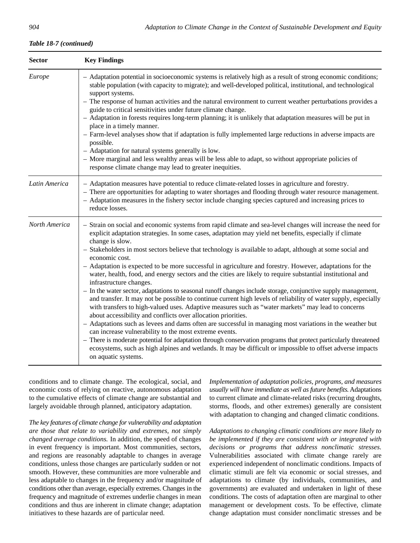# *Table 18-7 (continued)*

| <b>Sector</b> | <b>Key Findings</b>                                                                                                                                                                                                                                                                                                                                                                                                                                                                                                                                                                                                                                                                                                                                                                                                                                                                                                                                                                                                                                                                                                                                                                                                                                                                                                                                                                                                                                                     |
|---------------|-------------------------------------------------------------------------------------------------------------------------------------------------------------------------------------------------------------------------------------------------------------------------------------------------------------------------------------------------------------------------------------------------------------------------------------------------------------------------------------------------------------------------------------------------------------------------------------------------------------------------------------------------------------------------------------------------------------------------------------------------------------------------------------------------------------------------------------------------------------------------------------------------------------------------------------------------------------------------------------------------------------------------------------------------------------------------------------------------------------------------------------------------------------------------------------------------------------------------------------------------------------------------------------------------------------------------------------------------------------------------------------------------------------------------------------------------------------------------|
| Europe        | - Adaptation potential in socioeconomic systems is relatively high as a result of strong economic conditions;<br>stable population (with capacity to migrate); and well-developed political, institutional, and technological<br>support systems.<br>- The response of human activities and the natural environment to current weather perturbations provides a<br>guide to critical sensitivities under future climate change.<br>- Adaptation in forests requires long-term planning; it is unlikely that adaptation measures will be put in<br>place in a timely manner.<br>- Farm-level analyses show that if adaptation is fully implemented large reductions in adverse impacts are<br>possible.<br>- Adaptation for natural systems generally is low.<br>- More marginal and less wealthy areas will be less able to adapt, so without appropriate policies of<br>response climate change may lead to greater inequities.                                                                                                                                                                                                                                                                                                                                                                                                                                                                                                                                        |
| Latin America | - Adaptation measures have potential to reduce climate-related losses in agriculture and forestry.<br>- There are opportunities for adapting to water shortages and flooding through water resource management.<br>- Adaptation measures in the fishery sector include changing species captured and increasing prices to<br>reduce losses.                                                                                                                                                                                                                                                                                                                                                                                                                                                                                                                                                                                                                                                                                                                                                                                                                                                                                                                                                                                                                                                                                                                             |
| North America | - Strain on social and economic systems from rapid climate and sea-level changes will increase the need for<br>explicit adaptation strategies. In some cases, adaptation may yield net benefits, especially if climate<br>change is slow.<br>- Stakeholders in most sectors believe that technology is available to adapt, although at some social and<br>economic cost.<br>- Adaptation is expected to be more successful in agriculture and forestry. However, adaptations for the<br>water, health, food, and energy sectors and the cities are likely to require substantial institutional and<br>infrastructure changes.<br>- In the water sector, adaptations to seasonal runoff changes include storage, conjunctive supply management,<br>and transfer. It may not be possible to continue current high levels of reliability of water supply, especially<br>with transfers to high-valued uses. Adaptive measures such as "water markets" may lead to concerns<br>about accessibility and conflicts over allocation priorities.<br>- Adaptations such as levees and dams often are successful in managing most variations in the weather but<br>can increase vulnerability to the most extreme events.<br>- There is moderate potential for adaptation through conservation programs that protect particularly threatened<br>ecosystems, such as high alpines and wetlands. It may be difficult or impossible to offset adverse impacts<br>on aquatic systems. |

conditions and to climate change. The ecological, social, and economic costs of relying on reactive, autonomous adaptation to the cumulative effects of climate change are substantial and largely avoidable through planned, anticipatory adaptation.

*The key features of climate change for vulnerability and adaptation are those that relate to variability and extremes, not simply changed average conditions.* In addition, the speed of changes in event frequency is important. Most communities, sectors, and regions are reasonably adaptable to changes in average conditions, unless those changes are particularly sudden or not smooth. However, these communities are more vulnerable and less adaptable to changes in the frequency and/or magnitude of conditions other than average, especially extremes. Changes in the frequency and magnitude of extremes underlie changes in mean conditions and thus are inherent in climate change; adaptation initiatives to these hazards are of particular need.

*Implementation of adaptation policies, programs, and measures usually will have immediate as well as future benefits.* A daptations to current climate and climate-related risks (recurring droughts, storms, floods, and other extremes) generally are consistent with adaptation to changing and changed climatic conditions.

*Adaptations to changing climatic conditions are more likely to be implemented if they are consistent with or integrated with decisions or programs that address nonclimatic stresses.* Vulnerabilities associated with climate change rarely are experienced independent of nonclimatic conditions. Impacts of climatic stimuli are felt via economic or social stresses, and adaptations to climate (by individuals, communities, and governments) are evaluated and undertaken in light of these conditions. The costs of adaptation often are marginal to other management or development costs. To be effective, climate change adaptation must consider nonclimatic stresses and be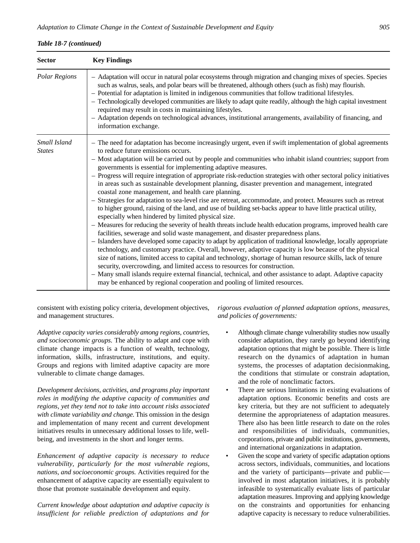| <b>Sector</b>                 | <b>Key Findings</b>                                                                                                                                                                                                                                                                                                                                                                                                                                                                                                                                                                                                                                                                                                                                                                                                                                                                                                                                                                                                                                                                                                                                                                                                                                                                                                                                                                                                                                                                                                                                                                                                                                                                                                                    |
|-------------------------------|----------------------------------------------------------------------------------------------------------------------------------------------------------------------------------------------------------------------------------------------------------------------------------------------------------------------------------------------------------------------------------------------------------------------------------------------------------------------------------------------------------------------------------------------------------------------------------------------------------------------------------------------------------------------------------------------------------------------------------------------------------------------------------------------------------------------------------------------------------------------------------------------------------------------------------------------------------------------------------------------------------------------------------------------------------------------------------------------------------------------------------------------------------------------------------------------------------------------------------------------------------------------------------------------------------------------------------------------------------------------------------------------------------------------------------------------------------------------------------------------------------------------------------------------------------------------------------------------------------------------------------------------------------------------------------------------------------------------------------------|
| <b>Polar Regions</b>          | - Adaptation will occur in natural polar ecosystems through migration and changing mixes of species. Species<br>such as walrus, seals, and polar bears will be threatened, although others (such as fish) may flourish.<br>- Potential for adaptation is limited in indigenous communities that follow traditional lifestyles.<br>- Technologically developed communities are likely to adapt quite readily, although the high capital investment<br>required may result in costs in maintaining lifestyles.<br>- Adaptation depends on technological advances, institutional arrangements, availability of financing, and<br>information exchange.                                                                                                                                                                                                                                                                                                                                                                                                                                                                                                                                                                                                                                                                                                                                                                                                                                                                                                                                                                                                                                                                                    |
| Small Island<br><b>States</b> | - The need for adaptation has become increasingly urgent, even if swift implementation of global agreements<br>to reduce future emissions occurs.<br>- Most adaptation will be carried out by people and communities who inhabit island countries; support from<br>governments is essential for implementing adaptive measures.<br>- Progress will require integration of appropriate risk-reduction strategies with other sectoral policy initiatives<br>in areas such as sustainable development planning, disaster prevention and management, integrated<br>coastal zone management, and health care planning.<br>- Strategies for adaptation to sea-level rise are retreat, accommodate, and protect. Measures such as retreat<br>to higher ground, raising of the land, and use of building set-backs appear to have little practical utility,<br>especially when hindered by limited physical size.<br>- Measures for reducing the severity of health threats include health education programs, improved health care<br>facilities, sewerage and solid waste management, and disaster preparedness plans.<br>- Islanders have developed some capacity to adapt by application of traditional knowledge, locally appropriate<br>technology, and customary practice. Overall, however, adaptive capacity is low because of the physical<br>size of nations, limited access to capital and technology, shortage of human resource skills, lack of tenure<br>security, overcrowding, and limited access to resources for construction.<br>- Many small islands require external financial, technical, and other assistance to adapt. Adaptive capacity<br>may be enhanced by regional cooperation and pooling of limited resources. |

consistent with existing policy criteria, development objectives, and management structures.

*Adaptive capacity varies considerably among regions, countries, and socioeconomic groups.* The ability to adapt and cope with climate change impacts is a function of wealth, technology, information, skills, infrastructure, institutions, and equity. Groups and regions with limited adaptive capacity are more vulnerable to climate change damages.

*Development decisions, activities, and programs play important roles in modifying the adaptive capacity of communities and regions, yet they tend not to take into account risks associated with climate variability and change.* This omission in the design and implementation of many recent and current development initiatives results in unnecessary additional losses to life, wellbeing, and investments in the short and longer terms.

*Enhancement of adaptive capacity is necessary to reduce v u lnerability, particularly for the most vulnerable regions, nations, and socioeconomic groups.* Activities required for the enhancement of adaptive capacity are essentially equivalent to those that promote sustainable development and equity.

*Current knowledge about adaptation and adaptive capacity is insufficient for reliable prediction of adaptations and for* *r i gorous evaluation of planned adaptation options, measures, and policies of governments:*

- Although climate change vulnerability studies now usually consider adaptation, they rarely go beyond identifying adaptation options that might be possible. There is little research on the dynamics of adaptation in human systems, the processes of adaptation decisionmaking, the conditions that stimulate or constrain adaptation, and the role of nonclimatic factors.
- There are serious limitations in existing evaluations of adaptation options. Economic benefits and costs are key criteria, but they are not sufficient to adequately determine the appropriateness of adaptation measures. There also has been little research to date on the roles and responsibilities of individuals, communities, corporations, private and public institutions, governments, and international organizations in adaptation.
- Given the scope and variety of specific adaptation options across sectors, individuals, communities, and locations and the variety of participants—private and public involved in most adaptation initiatives, it is probably infeasible to systematically evaluate lists of particular adaptation measures. Improving and applying knowledge on the constraints and opportunities for enhancing adaptive capacity is necessary to reduce vulnerabilities.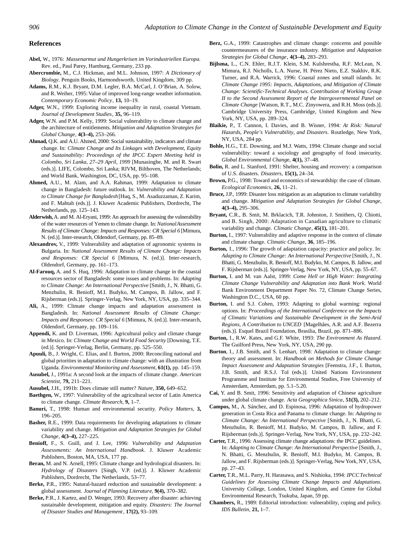#### **References**

- **Abel,** W., 1976: *Massenarmut und Hungerkrisen im Vorindustriellen Europa.* Rev. ed., Paul Parey, Hamburg, Germany, 233 pp.
- **Abercrombie,** M., C.J. Hickman, and M.L. Johnson, 1997: *A Dictionary of Biology*. Penguin Books, Harmondsworth, United Kingdom, 309 pp.
- **Adams,** R.M., K.J. Bryant, D.M. Legler, B.A. McCarl, J. O'Brian, A. Solow, and R. Weiher, 1995: Value of improved long-range weather information. *Contemporary Economic Policy*, **13,** 10–19.
- **Adger,** W.N., 1999: Exploring income inequality in rural, coastal Vietnam. *Journal of Development Studies*, **35,** 96–119.
- **Adger,** W.N. and P.M. Kelly, 1999: Social vulnerability to climate change and the architecture of entitlements. *Mitigation and Adaptation Strategies for Global Change*, **4(3–4),** 253–266.
- Ahmad, Q.K. and A.U. Ahmed, 2000: Social sustainability, indicators and climate change. In: *Climate Change and Its Linkages with Development, Equity and Sustainability: Proceedings of the IPCC Expert Meeting held in Colombo, Sri Lanka, 27–29 April, 1999* [Munasinghe, M. and R. Swart (eds.)]. LIFE, Colombo, Sri Lanka; RIVM, Bilthoven, The Netherlands; and World Bank, Washington, DC, USA, pp. 95–108.
- **Ahmed,** A.U., M. Alam, and A.A. Rahman, 1999: Adaptation to climate change in Bangladesh: future outlook. In: *Vulnerability and Adaptation to Climate Change for Bangladesh* [Huq, S., M. Asaduzzaman, Z. Karim, and F. Mahtab (eds.)]. J. Kluwer Academic Publishers, Dordrecht, The Netherlands, pp. 125–143.
- Alderwish, A. and M. Al-Eryani, 1999: An approach for assessing the vulnerability of the water resources of Yemen to climate change. In: *National Assessment Results of Climate Change: Impacts and Responses: CR Special 6 [Mimura,* N. (ed.)]. Inter-research, Oldendorf, Germany, pp. 85–89.
- **Alexandrov,** V., 1999: Vulnerability and adaptation of agronomic systems in Bulgaria. In: *National Assessment Results of Climate Change: Impacts* and Responses: CR Special 6 [Mimura, N. (ed.)]. Inter-research, Oldendorf, Germany, pp. 161–173.
- **Al-Farouq,** A. and S. Huq, 1996: Adaptation to climate change in the coastal resources sector of Bangladesh: some issues and problems. In: *Adapting to Climate Change: An International Perspective* [Smith, J., N. Bhatti, G. Menzhulin, R. Benioff, M.I. Budyko, M. Campos, B. Jallow, and F. Rijsberman (eds.)]. Springer-Verlag, New York, NY, USA, pp. 335–344.
- Ali, A., 1999: Climate change impacts and adaptation assessment in Bangladesh. In: *National Assessment Results of Climate Change: Impacts and Responses: CR Special 6* [Mimura, N. (ed.)]. Inter-research, Oldendorf, Germany, pp. 109–116.
- **Appendi,** K. and D. Liverman, 1996: Agricultural policy and climate change in Mexico. In: *Climate Change and World Food Security* [Downing, T.E. (ed.)]. Springer-Verlag, Berlin, Germany, pp. 525–550.
- **Apuuli,** B., J. Wright, C. Elias, and I. Burton, 2000: Reconciling national and global priorities in adaptation to climate change: with an illustration from Uganda. *Environmental Monitoring and Assessment*, **61(1),** pp. 145–159.
- **Ausubel,** J., 1991a: A second look at the impacts of climate change. *American Scientist*, **79,** 211–221.
- **Ausubel,** J.H., 1991b: Does climate still matter? *Nature*, **350,** 649–652.
- **Baethgen,** W., 1997: Vulnerability of the agricultural sector of Latin America to climate change. *Climate Research*, **9,** 1–7.
- **Banuri,** T., 1998: Human and environmental security. *Policy Matters*, **3,** 196–205.
- **Basher,** R.E., 1999: Data requirements for developing adaptations to climate variability and change. *Mitigation and Adaptation Strategies for Global Change*, **4(3–4),** 227–225.
- **Benioff,** F., S. Guill, and J. Lee, 1996: *Vulnerability and Adaptation* Assessments: An International Handbook. J. Kluwer Academic Publishers, Boston, MA, USA, 177 pp.
- **Beran,** M. and N. Arnell, 1995: Climate change and hydrological disasters. In: *Hydrology of Disasters* [Singh, V.P. (ed.)]. J. Kluwer Academic Publishers, Dordrecht, The Netherlands, 53–77.
- **Berke,** P.R., 1995: Natural-hazard reduction and sustainable development: a global assessment. *Journal of Planning Literature*, **9(4),** 370–382.
- Berke, P.R., J. Kartez, and D. Wenger, 1993: Recovery after disaster: achieving sustainable development, mitigation and equity. *Disasters: The Journal of Disaster Studies and Management*, **17(2),** 93–109.
- **Berz,** G.A., 1999: Catastrophes and climate change: concerns and possible countermeasures of the insurance industry. *Mitigation and Adaptation Strategies for Global Change*, **4(3–4),** 283–293.
- **Bijlsma,** L., C.N. Ehler, R.J.T. Klein, S.M. Kulshrestha, R.F. McLean, N. Mimura, R.J. Nicholls, L.A. Nurse, H. Pérez Nieto, E.Z. Stakhiv, R.K. Turner, and R.A. Warrick, 1996: Coastal zones and small islands. In: *Climate Change 1995: Impacts, Adaptations, and Mitigation of Climate Change: Scientific-Technical Analyses. Contribution of Working Group II to the Second Assessment Report of the Intergovernmental Panel on Climate Change* [Watson, R.T., M.C. Zinyowera, and R.H. Moss (eds.)]. Cambridge University Press, Cambridge, United Kingdom and New York, NY, USA, pp. 289–324.
- **Blaikie,** P., T. Cannon, I. Davies, and B. Wisner, 1994: *At Risk: Natural Hazards, People's Vulnerability, and Disasters*. Routledge, New York, NY, USA, 284 pp.
- **Bohle,** H.G., T.E. Downing, and M.J. Watts, 1994: Climate change and social vulnerability: toward a sociology and geography of food insecurity. *Global Environmental Chang*e, **4(1),** 37–48.
- **Bolin,** R. and L. Stanford, 1991: Shelter, housing and recovery: a comparison of U.S. disasters. *Disasters*, **15(1),** 24–34.
- **Brown,** P.G., 1998: Toward and economics of stewardship: the case of climate. *Ecological Economics*, **26,** 11–21.
- **Bruce, J.P., 1999: Disaster loss mitigation as an adaptation to climate variability** and change. *Mitigation and Adaptation Strategies for Global Change*, **4(3–4),** 295–306.
- **Bryant,** C.R., B. Smit, M. Brklacich, T.R. Johnston, J. Smithers, Q. Chiotti, and B. Singh, 2000: Adaptation in Canadian agriculture to climatic variability and change. *Climatic Change*, 45(1), 181-201.
- **Burton,** I., 1997: Vulnerability and adaptive response in the context of climate and climate change. *Climatic Chang*e, **36**, 185–196.
- **Burton,** I., 1996: The growth of adaptation capacity: practice and policy. In: *Adapting to Climate Change: An International Perspective* [Smith, J., N. Bhatti, G. Menzhulin, R. Benioff, M.I. Budyko, M. Campos, B. Jallow, and F. Rijsberman (eds.)]. Springer- Verlag, New York, NY, USA, pp. 55–67.
- **Burton,** I. and M. van Aalst, 1999: *Come Hell or High Water: Integrating Climate Change Vulnerability and Adaptation into Bank Work*. World Bank Environment Department Paper No. 72, Climate Change Series, Washington D.C., USA, 60 pp.
- **Burton,** I. and S.J. Cohen, 1993: Adapting to global warming: regional options. In: *Proceedings of the International Conference on the Impacts of Climatic Variations and Sustainable Development in the Semi-Arid Regions, A Contribution to UNCED* [Magelhães, A.R. and A.F. Bezerra (eds.)]. Esquel Brazil Foundation, Brasilia, Brazil, pp. 871–886.
- **Burton,** I., R.W. Kates, and G.F. White, 1993: *The Environment As Hazard*. The Guilford Press, New York, NY, USA, 290 pp.
- **Burton**, I., J.B. Smith, and S. Lenhart, 1998: Adaptation to climate change: theory and assessment. In: *Handbook on Methods for Climate Change Impact Assessment and Adaptation Strategies* [Feenstra, J.F., I. Burton, J.B. Smith, and R.S.J. Tol (eds.)]. United Nations Environment Programme and Institute for Environmental Studies, Free University of Amsterdam, Amsterdam, pp. 5.1–5.20.
- **Cai,** Y. and B. Smit, 1996: Sensitivity and adaptation of Chinese agriculture under global climate change. *Acta Geographica Sinica*, **51(3),** 202–212.
- **Campos,** M., A. Sánchez, and D. Espinosa, 1996: Adaptation of hydropower generation in Costa Rica and Panama to climate change. In: *Adapting to Climate Change: An International Perspective* [Smith, J., N. Bhatti, G. Menzhulin, R. Benioff, M.I. Budyko, M. Campos, B. Jallow, and F. Rijsberman (eds.)]. Springer-Verlag, New York, NY, USA, pp. 232–242.
- **Carter,** T.R., 1996: Assessing climate change adaptations: the IPCC guidelines. In: *Adapting to Climate Change: An International Perspective* [Smith, J., N. Bhatti, G. Menzhulin, R. Benioff, M.I. Budyko, M. Campos, B. Jallow, and F. Rijsberman (eds.)]. Springer-Verlag, New York, NY, USA, pp. 27–43.
- **Carter,** T.R., M.L. Parry, H. Harasawa, and S. Nishioka, 1994: *IPCC Technical Guidelines for Assessing Climate Change Impacts and Adaptations*. University College, London, United Kingdom, and Centre for Global Environmental Research, Tsukuba, Japan, 59 pp.
- **Chambers,** R., 1989: Editorial introduction: vulnerability, coping and policy. *IDS Bulletin*, **21,** 1–7.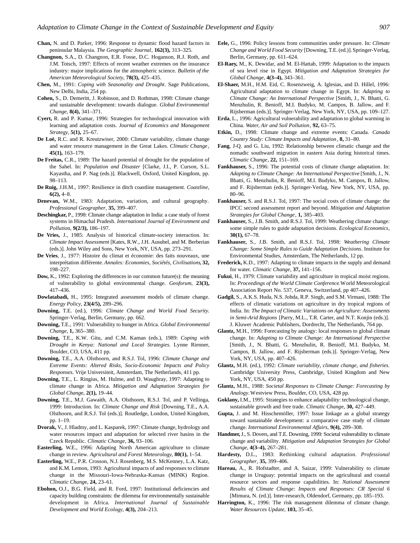- **Chan,** N. and D. Parker, 1996: Response to dynamic flood hazard factors in peninsular Malaysia. *The Geographic Journal*, **162(3),** 313–325.
- **Changnon,** S.A., D. Changnon, E.R. Fosse, D.C. Hoganson, R.J. Roth, and J.M. Totsch, 1997: Effects of recent weather extremes on the insurance industry: major implications for the atmospheric science. *Bulletin of the American Meteorological Society,* **78(3),** 425–435.
- **Chen,** M., 1991: *Coping with Seasonality and Drought*. Sage Publications, New Delhi, India, 254 pp.
- **Cohen,** S., D. Demeritt, J. Robinson, and D. Rothman, 1998: Climate change and sustainable development: towards dialogue. *Global Environmental Change*, **8(4),** 341–371.
- **Cyert,** R. and P. Kumar, 1996: Strategies for technological innovation with learning and adaptation costs. *Journal of Economics and Management Strategy*, **5(1),** 25–67.
- **De Loë,** R.C. and R. Kreutzwiser, 2000: Climate variability, climate change and water resource management in the Great Lakes. *Climatic Change* , **45(1),** 163–179.
- **De Freitas,** C.R., 1989: The hazard potential of drought for the population of the Sahel. In: *Population and Disaster* [Clarke, J.I., P. Curson, S.L. Kayastha, and P. Nag (eds.)]. Blackwell, Oxford, United Kingdom, pp. 98–113.
- **De Ruig,** J.H.M., 1997: Resilience in ditch coastline management. *Coastline*, **6(2),** 4–8.
- **Denevan,** W.M., 1983: Adaptation, variation, and cultural geography. *Professional Geographer*, **35,** 399–407.
- Deschingkar, P., 1998: Climate change adaptation in India: a case study of forest systems in Himachal Pradesh. *International Journal of Environment and Pollutio*n, **9(2/3),** 186–197.
- De Vries, J., 1985: Analysis of historical climate-society interaction. In: *Climate Impact Assessment* [Kates, R.W., J.H. Ausubel, and M. Berberian (eds.)]. John Wiley and Sons, New York, NY, USA, pp. 273–291.
- **De Vries**, J., 1977: Histoire du climat et économie: des faits nouveaux, une interprétation différente. *Annales: Economies, Sociétés, Civilisations*, **32,** 198–227.
- **Dow, K., 1992: Exploring the differences in our common future(s): the meaning** of vulnerability to global environmental change. *Geoforum*, **23(3),** 417–436.
- **Dowlatabadi,** H., 1995: Integrated assessment models of climate change. *Energy Policy*, **23(4/5),** 289–296.
- **Downing,** T.E. (ed.), 1996: *Climate Change and World Food Security*. Springer-Verlag, Berlin, Germany, pp. 662.
- **Downing,** T.E., 1991: Vulnerability to hunger in Africa. *Global Environmental Change*, **1,** 365–380.
- **Downing,** T.E., K.W. Gitu, and C.M. Kaman (eds.), 1989: *Coping with Drought in Kenya: National and Local Strategies*. Lynne Rienner, Boulder, CO, USA, 411 pp.
- **Downing,** T.E., A.A. Olsthoorn, and R.S.J. Tol, 1996: *Climate Change and Extreme Events: Altered Risks, Socio-Economic Impacts and Policy Responses*. Vrije Universiteit, Amsterdam, The Netherlands, 411 pp.
- **Downing,** T.E., L. Ringius, M. Hulme, and D. Waughray, 1997: Adapting to climate change in Africa. *Mitigation and Adaptation Strategies for Global Chang*e, **2(1),** 19–44.
- **Downing,** T.E., M.J. Gawaith, A.A. Olsthoorn, R.S.J. Tol, and P. Vellinga, 1999: Introduction. In: *Climate Change and Risk* [Downing, T.E., A.A. Olsthoorn, and R.S.J. Tol (eds.)]. Routledge, London, United Kingdom, pp. 1–19.
- **Dvorak,** V., J. Hladmy, and L. Kasparek, 1997: Climate change, hydrology and water resources impact and adaptation for selected river basins in the Czeck Republic. *Climatic Change*, **36,** 93–106.
- **Easterling,** W.E., 1996: Adapting North American agriculture to climate change in review. *Agricultural and Forest Meteorology*, **80(1),** 1–54.
- **Easterling,** W.E., P.R. Crosson, N.J. Rosenberg, M.S. McKenney, L.A. Katz, and K.M. Lemon, 1993: Agricultural impacts of and responses to climate change in the Missouri-Iowa-Nebraska-Kansas (MINK) Region. *Climatic Chang*e, **24,** 23–61.
- **Ebohon,** O.J., B.G. Field, and R. Ford, 1997: Institutional deficiencies and capacity building constraints: the dilemma for environmentally sustainable development in Africa. *International Journal of Sustainable Development and World Ecology*, **4(3),** 204–213.
- **Eele,** G., 1996: Policy lessons from communities under pressure. In: *Climate Change and World Food Security* [Downing, T.E. (ed.)]. Springer-Verlag, Berlin, Germany, pp. 611–624.
- **El-Raey,** M., K. Dewidar, and M. El-Hattab, 1999: Adaptation to the impacts of sea level rise in Egypt. *Mitigation and Adaptation Strategies for Global Change*, **4(3–4),** 343–361.
- **El-Shaer,** M.H., H.M. Eid, C. Rosenzweig, A. Iglesias, and D. Hillel, 1996: Agricultural adaptation to climate change in Egypt. In: *Adapting to Climate Change: An International Perspective* [Smith, J., N. Bhatti, G. Menzhulin, R. Benioff, M.I. Budyko, M. Campos, B. Jallow, and F. Rijsberman (eds.)]. Springer-Verlag, New York, NY, USA, pp. 109–127.
- **Erda**, L., 1996: Agricultural vulnerability and adaptation to global warming in China. *Water, Air and Soil Pollution*, **92,** 63–75.
- **Etkin,** D., 1998: Climate change and extreme events: Canada. *Canada Country Study: Climate Impacts and Adaptation*, **8,** 31–80.
- **Fang**, J-Q. and G. Liu, 1992: Relationship between climatic change and the nomadic southward migration in eastern Asia during historical times. *Climatic Change*, **22,** 151–169.
- **Fankhauser,** S., 1996: The potential costs of climate change adaptation. In: *Adapting to Climate Change: An International Perspective* [Smith, J., N. Bhatti, G. Menzhulin, R. Benioff, M.I. Budyko, M. Campos, B. Jallow, and F. Rijsberman (eds.)]. Springer-Verlag, New York, NY, USA, pp. 80–96.
- **Fankhauser,** S. and R.S.J. Tol, 1997: The social costs of climate change: the IPCC second assessment report and beyond. *Mitigation and Adaptation Strategies for Global Change*, **1,** 385–403.
- **Fankhauser,** S., J.B. Smith, and R.S.J. Tol, 1999: Weathering climate change: some simple rules to guide adaptation decisions. *Ecological Economics*, **30(1),** 67–78.
- **Fankhauser,** S., J.B. Smith, and R.S.J. Tol, 1998: *Weathering Climate Change: Some Simple Rules to Guide Adaptation Decisions*. Institute for Environmental Studies, Amsterdam, The Netherlands, 12 pp.
- **Frederick,** K.D., 1997: Adapting to climate impacts in the supply and demand for water. *Climatic Change*, **37,** 141–156.
- **Fukui**, H., 1979: Climate variability and agriculture in tropical moist regions. In: *Proceedings of the World Climate Conference*. World Meteorological Association Report No. 537, Geneva, Switzerland, pp 407–426.
- **Gadgil,** S., A.K.S. Huda, N.S. Johda, R.P. Singh, and S.M. Virmani, 1988: The effects of climatic variations on agriculture in dry tropical regions of India. In: *The Impact of Climatic Variations on Agriculture: Assessments in Semi-Arid Regions* [Parry, M.L., T.R. Carter, and N.T. Konjin (eds.)]. J. Kluwer Academic Publishers, Dordrecht, The Netherlands, 764 pp.
- **Glantz,** M.H., 1996: Forecasting by analogy: local responses to global climate change. In: *Adapting to Climate Change: An International Perspective* [Smith, J., N. Bhatti, G. Menzhulin, R. Benioff, M.I. Budyko, M. Campos, B. Jallow, and F. Rijsberman (eds.)]. Springer-Verlag, New York, NY, USA, pp. 407–426.
- **Glantz,** M.H. (ed.), 1992: *Climate variability, climate change, and fisheries*. Cambridge University Press, Cambridge, United Kingdom and New York, NY, USA, 450 pp.
- **Glantz,** M.H., 1988: *Societal Responses to Climate Change: Forecasting by Analogy*. Westview Press, Boulder, CO, USA, 428 pp.
- **Goklany,** I.M., 1995: Strategies to enhance adaptability: technological change, sustainable growth and free trade. *Climatic Chang*e, **30,** 427–449.
- **Gupta,** J. and M. Hisschemöller, 1997: Issue linkage as a global strategy toward sustainable development: a comparative case study of climate change. *International Environmental Affairs*, **9(4),** 289–308.
- Handmer, J., S. Dovers, and T.E. Downing, 1999: Societal vulnerability to climate change and variability. *Mitigation and Adaptation Strategies for Global Change*, **4(3–4),** 267–281.
- Hardesty, D.L., 1983: Rethinking cultural adaptation. *Professional Geographer*, **35,** 399–406.
- **Hareau,** A., R. Hofstadter, and A. Saizar, 1999: Vulnerability to climate change in Uruguay: potential impacts on the agricultural and coastal resource sectors and response capabilities. In: *National Assessment Results of Climate Change: Impacts and Responses: CR Special 6* [Mimura, N. (ed.)]. Inter-research, Oldendorf, Germany, pp. 185–193.
- **Harrington,** K., 1996: The risk management dilemma of climate change. *Water Resources Update*, **103,** 35–45.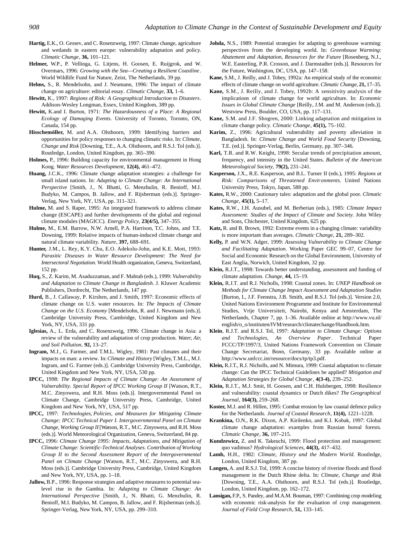- Hartig, E.K., O. Grosev, and C. Rosenzweig, 1997: Climate change, agriculture and wetlands in eastern europe: vulnerability adaptation and policy. *Climatic Change*, **36,** 101–121.
- **Helmer,** W.P., P. Vellinga, G. Litjens, H. Goosen, E. Ruijgrok, and W. Overmars, 1996: *Growing with the Sea—Creating a Resilient Coastline*. World Wildlife Fund for Nature, Zeist, The Netherlands, 39 pp.
- **Helms,** S., R. Mendelsohn, and J. Neumann, 1996: The impact of climate change on agriculture: editorial essay. *Climatic Change*, **33,** 1–6.
- **Hewitt,** K., 1997: *Regions of Risk: A Geographical Introduction to Disasters*. Addison-Wesley Longman, Essex, United Kingdom, 389 pp.
- **Hewitt,** K.and I. Burton, 1971: *The Hazardousness of a Place: A Regional Ecology of Damaging Events*. University of Toronto, Toronto, ON, Canada, 154 pp.
- Hisschemöller, M. and A.A. Olsthoorn, 1999: Identifying barriers and opportunities for policy responses to changing climatic risks. In: *Climate*, *Change and Risk* [Downing, T.E., A.A. Olsthoorn, and R.S.J. Tol (eds.)]. Routledge, London, United Kingdom, pp. 365–390.
- **Holmes,** P., 1996: Building capacity for environmental management in Hong Kong. *Water Resources Development*, **12(4),** 461–472.
- **Huang,** J.C.K., 1996: Climate change adaptation strategies: a challenge for small island nations. In: *Adapting to Climate Change: An International Perspective* [Smith, J., N. Bhatti, G. Menzhulin, R. Benioff, M.I. Budyko, M. Campos, B. Jallow, and F. Rijsberman (eds.)]. Springer-Verlag, New York, NY, USA, pp. 311–321.
- **Hulme,** M. and S. Raper, 1995: An integrated framework to address climate change (ESCAPE) and further developments of the global and regional climate modules (MAGICC). *Energy Policy*, **23(4/5),** 347–355.
- **Hulme,** M., E.M. Barrow, N.W. Arnell, P.A. Harrison, T.C. Johns, and T.E. Downing, 1999: Relative impacts of human-induced climate change and natural climate variability. *Nature*, **397,** 688–691.
- Hunter, J.M., L. Rey, K.Y. Chu, E.O. Adekolu-John, and K.E. Mott, 1993: *Parasitic Diseases in Water Resource Development: The Need for Intersectoral Negotiation*. World Health organization, Geneva, Switzerland, 152 pp.
- **Huq,** S., Z. Karim, M. Asaduzzaman, and F. Mahtab (eds.), 1999: *Vulnerability and Adaptation to Climate Change in Bangladesh*. J. Kluwer Academic Publishers, Dordrecht, The Netherlands, 147 pp.
- Hurd, B., J. Callaway, P. Kirshen, and J. Smith, 1997: Economic effects of climate change on U.S. water resources. In: *The Impacts of Climate Change on the U.S. Economy* [Mendelsohn, R. and J. Newmann (eds.)]. Cambridge University Press, Cambridge, United Kingdom and New York, NY, USA, 331 pp.
- **Iglesias,** A., L. Erda, and C. Rosenzweig, 1996: Climate change in Asia: a review of the vulnerability and adaptation of crop production. *Water, Air, and Soil Pollution*, **92,** 13–27.
- **Ingram,** M.J., G. Farmer, and T.M.L. Wigley, 1981: Past climates and their impacts on man: a review. In: *Climate and History* [Wigley,T.M.L., M.J. Ingram, and G. Farmer (eds.)]. Cambridge University Press, Cambridge, United Kingdom and New York, NY, USA, 530 pp.
- **IPCC,** 1998: *The Regional Impacts of Climate Change: An Assessment of Vulnerability. Special Report of IPCC Working Group II* [Watson, R.T., M.C. Zinyowera, and R.H. Moss (eds.)]. Intergovernmental Panel on Climate Change, Cambridge University Press, Cambridge, United Kingdom and New York, NY, USA, 517 pp.
- **IPCC,** 1997: Technologies, Policies, and Measures for Mitigating Climate *Change: IPCC Technical Paper I. Intergovernmental Panel on Climate Change, Working Group II* [ Watson, R.T., M.C. Zinyowera, and R.H. Moss (eds.)]. World Meteorological Organization, Geneva, Switzerland, 84 pp.
- **IPCC,** 1996: *Climate Change 1995: Impacts, Adaptations, and Mitigation of Climate Change: Scientific-Technical Analyses. Contribution of Working Group II to the Second Assessment Report of the Intergovernmental Panel on Climate Change* [Watson, R.T., M.C. Zinyowera, and R.H. Moss (eds.)]. Cambridge University Press, Cambridge, United Kingdom and New York, NY, USA, pp. 1–18.
- **Jallow,** B.P., 1996: Response strategies and adaptive measures to potential sealevel rise in the Gambia. In: *Adapting to Climate Change: An International Perspective* [Smith, J., N. Bhatti, G. Menzhulin, R. Benioff, M.I. Budyko, M. Campos, B. Jallow, and F. Rijsberman (eds.)]. Springer-Verlag, New York, NY, USA, pp. 299–310.
- **Johda,** N.S., 1989: Potential strategies for adapting to greenhouse warming: perspectives from the developing world. In: *Greenhouse Warming: Abatement and Adaptation, Resources for the Future* [Rosenberg, N.J., W.E. Easterling, P.R. Crosson, and J. Darmstadter (eds.)]. Resources for the Future, Washington, DC, USA, pp. 147–158.
- Kane, S.M., J. Reilly, and J. Tobey, 1992a: An empirical study of the economic effects of climate change on world agriculture. *Climatic Change*, 21, 17–35.
- Kane, S.M., J. Reilly, and J. Tobey, 1992b: A sensitivity analysis of the implications of climate change for world agriculture. In: *Economic Issues in Global Climate Change* [Reilly, J.M. and M. Anderson (eds.)]. Westview Press, Boulder, CO, USA, pp. 117–131.
- Kane, S.M. and J.F. Shogren, 2000: Linking adaptation and mitigation in climate change policy. *Climatic Change*, 45(1), 75-102.
- Karim, Z., 1996: Agricultural vulnerability and poverty alleviation in Bangladesh. In: *Climate Change and World Food Security* [Downing, T.E. (ed.)]. Springer-Verlag, Berlin, Germany, pp. 307–346.
- Karl, T.R. and R.W. Knight, 1998: Secular trends of precipitation amount, frequency, and intensity in the United States. *Bulletin of the American Meteorological Society*, **79(2),** 231–241.
- **Kasperson,** J.X., R.E. Kasperson, and B.L. Turner II (eds.), 1995: *Regions at Risk: Comparisons of Threatened Environments.* United Nations University Press, Tokyo, Japan, 588 pp.
- **Kates,** R.W., 2000: Cautionary tales: adaptation and the global poor. *Climatic Change*, **45(1),** 5–17.
- **Kates,** R.W., J.H. Ausubel, and M. Berberian (eds.), 1985: *Climate Impact Assessment: Studies of the Impact of Climate and Society*. John Wiley and Sons, Chichester, United Kingdom, 625 pp.
- Katz, R. and B. Brown, 1992: Extreme events in a changing climate: variability is more important than averages. *Climatic Change*, **21,** 289–302.
- **Kelly,** P. and W.N. Adger, 1999: *Assessing Vulnerability to Climate Change and Facilitating Adaptation*. Working Paper GEC 99–07, Centre for Social and Economic Research on the Global Environment, University of East Anglia, Norwich, United Kingdom, 32 pp.
- **Klein,** R.J.T., 1998: Towards better understanding, assessment and funding of climate adaptation. *Change*, **44,** 15–19.
- **Klein,** R.J.T. and R.J. Nicholls, 1998: Coastal zones. In: *UNEP Handbook on Methods for Climate Change Impact Assessment and Adaptation Studies* [Burton, I., J.F. Feenstra, J.B. Smith, and R.S.J. Tol (eds.)]. Version 2.0, United Nations Environment Programme and Institute for Environmental Studies, Vrije Universiteit, Nairobi, Kenya and Amsterdam, The Netherlands, Chapter 7, pp. 1–36. Available online at http://www.vu.nl/ english/o\_o/instituten/IVM/research/climatechange/Handbook.htm.
- **Klein**, R.J.T. and R.S.J. Tol, 1997: *Adaptation to Climate Change: Options and Technologies, An Overview Paper*. Technical Paper FCCC/TP/1997/3, United Nations Framework Convention on Climate Change Secretariat, Bonn, Germany, 33 pp. Available online at http://www.unfccc.int/resource/docs/tp/tp3.pdf.
- Klein, R.J.T., R.J. Nicholls, and N. Mimura, 1999: Coastal adaptation to climate change: Can the IPCC Technical Guidelines be applied? *Mitigation and Adaptation Strategies for Global Change*, **4(3-4),** 239–252.
- **Klein,** R.J.T., M.J. Smit, H. Goosen, and C.H. Hulsbergen, 1998: Resilience and vulnerability: coastal dynamics or Dutch dikes? *The Geographical Journal*, **164(3),** 259–268.
- Koster, M.J. and R. Hillen, 1995: Combat erosion by law coastal defence policy for the Netherlands. *Journal of Coastal Research*, **11(4),** 1221–1228.
- **Krankina,** O.N., R.K. Dixon, A.P. Kirilenko, and K.I. Kobak, 1997: Global climate change adaptation: examples from Russian boreal forests. *Climatic Change*, **36,** 197–215.
- **Kundzewicz,** Z. and K. Takeuchi, 1999: Flood protection and management: quo vadimus? *Hydrological Sciences*, **44(3),** 417–432.
- **Lamb,** H.H., 1982: *Climate, History and the Modern World*. Routledge, London, United Kingdom, 387 pp.
- **Langen,** A. and R.S.J. Tol, 1999: A concise history of riverine floods and flood management in the Dutch Rhine delta. In: *Climate, Change and Risk* [Downing, T.E., A.A. Olsthoorn, and R.S.J. Tol (eds.)]. Routledge, London, United Kingdom, pp. 162–172.
- Lansigan, F.P., S. Pandey, and M.A.M. Bouman, 1997: Combining crop modeling with economic risk-analysis for the evaluation of crop management. *Journal of Field Crop Research*, **51,** 133–145.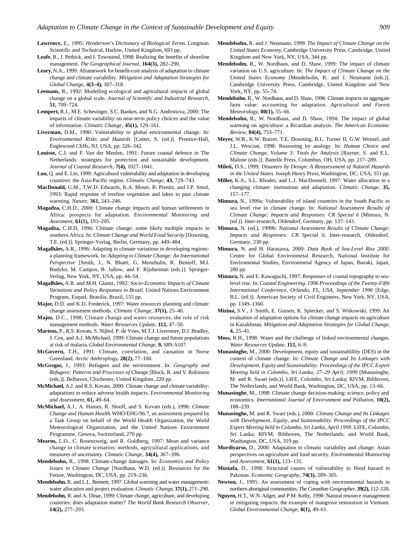- **Lawrence,** E., 1995: *Henderson's Dictionary of Biological Terms*. Longman Scientific and Technical, Harlow, United Kingdom, 693 pp.
- Leafe, R., J. Pethick, and I. Townsend, 1998: Realizing the benefits of shoreline management. *The Geographical Journal*, **164(3),** 282–290.
- Leary, N.A., 1999: Aframework for benefit-cost analysis of adaptation to climate change and climate variability. *Mitigation and Adaptation Strategies for Global Change*, **4(3–4),** 307–318.
- **Leemans,** R., 1992: Modelling ecological and agricultural impacts of global change on a global scale. *Journal of Scientific and Industrial Research,* **51,** 709–724.
- **Lempert,** R.J., M.E. Schesinger, S.C. Bankes, and N.G. Andronova, 2000: The impacts of climate variability on near-term policy choices and the value of information. *Climatic Change*, **45(1),** 129–161.
- **Liverman,** D.M., 1990: Vulnerability to global environmental change. In: *Environmental Risks and Hazards* [Cutter, S. (ed.)]. Prentice-Hall, Englewood Cliffs, NJ, USA, pp. 326–342.
- **Louisse,** C.J. and F. Van der Meulen, 1991: Future coastal defence in The Netherlands: strategies for protection and sustainable development. *Journal of Coastal Research*, **7(4),** 1027–1041.
- Luo, Q. and E. Lin, 1999: Agricultural vulnerability and adaptation in developing countires: the Asia-Pacific region. *Climatic Change*, **43,** 729–743.
- **MacDonald,** G.M., T.W.D. Edwards, K.A. Moser, R. Pienitz, and J.P. Smol, 1993: Rapid response of treeline vegetation and lakes to past climate warming. *Nature*, **361,** 243–246.
- **Magadza,** C.H.D., 2000: Climate change impacts and human settlements in Africa: prospects for adaptation. *Environmental Monitoring and Assesment*, **61(1),** 193–205.
- **Magadza,** C.H.D, 1996: Climate change: some likely multiple impacts in southern Africa. In: *Climate Change and World Food Security* [Downing, T.E. (ed.)]. Springer-Verlag, Berlin, Germany, pp. 449–484.
- **Magalhães,** A.R., 1996: Adapting to climate variations in developing regions: a planning framework. In: *Adapting to Climate Change: An International Perspective* [Smith, J., N. Bhatti, G. Menzhulin, R. Benioff, M.I. Budyko, M. Campos, B. Jallow, and F. Rijsberman (eds.)]. Springer-Verlag, New York, NY, USA, pp. 44–54.
- **Magalhães,** A.R. and M.H. Glantz, 1992: *Socio-Economic Impacts of Climate Variations and Policy Responses in Brazil*. United Nations Environment Program, Esquel, Brasilia, Brazil, 155 pp.
- **Major,** D.D. and K.D. Frederick, 1997: Water resources planning and climate change assessment methods. *Climatic Change*, **37(1),** 25–40.
- **Major,** D.C., 1998: Climate change and water resources: the role of risk management methods. Water Resources Update, 112, 47-50.
- Martens, P., R.S. Kovats, S. Nijhof, P. de Vries, M.T.J. Livermore, D.J. Bradley, J. Cox, and A.J. McMichael, 1999: Climate change and future populations at risk of malaria. *Global Environmental Change*, 9, S89-S107.
- McGovern, T.H., 1991: Climate, correlation, and causation in Norse Greenland. *Arctic Anthroplogy*, **28(2),** 77–100.
- **McGregor,** J., 1993: Refugees and the environment. In: *Geography and Refugees: Patterns and Processes of Change* [Black, R. and V. Robinson (eds.)]. Belhaven, Chichester, United Kingdom, 220 pp.
- McMichael, A.J. and R.S. Kovats, 2000: Climate change and climate variability: adaptations to reduce adverse health impacts. *Environmental Monitoring and Assessment*, **61,** 49–64.
- **McMichael,** A.J., A. Haines, R. Slooff, and S. Kovats (eds.), 1996: *Climate Change and Human Health*. WHO/EHG/96.7, an assessment prepared by a Task Group on behalf of the World Health Organization, the World Meteorological Organization, and the United Nations Environment Programme, Geneva, Switzerland, 270 pp.
- **Mearns,** L.O., C. Rosenzweig, and R. Goldberg, 1997: Mean and variance change in climate scenarios: methods, agricultural applications, and measures of uncertainty. *Climatic Change*, 34(4), 367-396.
- **Mendelsohn,** R., 1998: Climate-change damages. In: *Economics and Policy Issues in Climate Change* [Nordhaus, W.D. (ed.)]. Resources for the Future, Washington, DC, USA, pp. 219–236.
- Mendelsohn, R. and L.L. Bennett, 1997: Global warming and water management: water allocation and project evaluation. *Climatic Change*, **37(1)**, 271–290.
- **Mendelsohn, R.** and A. Dinar, 1999: Climate change, agriculture, and developing countries: does adaptation matter? *The World Bank Research Observer*, **14(2),** 277–293.
- **Mendelsohn,** R. and J. Neumann, 1999: *The Impact of Climate Change on the United States Economy*. Cambridge University Press, Cambridge, United Kingdom and New York, NY, USA, 344 pp.
- **Mendelsohn,** R., W. Nordhaus, and D. Shaw, 1999: The impact of climate variation on U.S. agriculture. In: *The Impact of Climate Change on the United States Economy* [Mendelsohn, R. and J. Neumann (eds.)]. Cambridge University Press, Cambridge, United Kingdom and New York, NY, pp. 55–74.
- **Mendelsohn, R., W. Nordhaus, and D. Shaw, 1996: Climate impacts on aggregate** farm value: accounting for adaptation. Agricultural and Forest *Meteorology*, **80(1),** 55–66.
- **Mendelsohn,** R., W. Nordhaus, and D. Shaw, 1994: The impact of global warming on agriculture: a Ricardian analysis. *The American Economic Review*, **84(4),** 753–771.
- **Meyer,** W.B., K.W. Butzer, T.E. Downing, B.L. Turner II, G.W. Wenzel, and J.L. Wescoat, 1998: Reasoning by analogy. In: *Human Choice and Climate Change, Volume 3: Tools for Analysis* [Rayner, S. and E.L. Malone (eds.)]. Battelle Press, Columbus, OH, USA, pp. 217–289.
- **Mileti,** D.S., 1999: *Disasters by Design: A Reassessment of Natural Hazards in the United States*. Joseph Henry Press, Washington, DC, USA, 351 pp.
- **Miller,** K.A., S.L. Rhodes, and L.J. MacDonnell, 1997: Water allocation in a changing climate: institutions and adaptation. *Climatic Change*, **35,** 157–177.
- **Mimura,** N., 1999a: Vulnerability of island countries in the South Pacific to sea level rise in climate change. In: *National Assessment Results of Climate Change: Impacts and Responses: CR Special 6* [Mimura, N. (ed.)]. Inter-research, Oldendorf, Germany, pp. 137–143.
- **Mimura,** N. (ed.), 1999b: *National Assessment Results of Climate Change: Impacts and Responses: CR Special 6*. Inter-research, Oldendorf, Germany, 230 pp.
- **Mimura,** N. and H. Harasawa, 2000: *Data Book of Sea-Level Rise 2000*. Centre for Global Environmetal Research, National Institute for Enviromental Studies, Environmetal Agency of Japan, Ibaraki, Japan, 280 pp.
- **Mimura,** N. and E. Kawaguchi, 1997: Responses of coastal topography to sealevel rise. In: *Coastal Engineering. 1996 Proceedings of the Twenty-Fifth International Conference, Orlando, FL, USA, September 1996* [Edge, B.L. (ed.)]. American Society of Civil Engineers, New York, NY, USA, pp. 1349–1360.
- **Mizina,** S.V., J. Smith, E. Gossen, K. Spiecker, and S. Witkowski, 1999: An evaluation of adaptation options for climate change impacts on agriculture in Kazakhstan. *Mitigation and Adaptation Strategies for Global Change*, **4,** 25–41.
- **Moss,** R.H., 1998: Water and the challenge of linked environmental changes. *Water Resources Update*, **112,** 6–9.
- **Munasinghe,** M., 2000: Development, equity and sustainabillity (DES) in the context of climate change. In: *Climate Change and Its Linkages with Development, Equity and Sustainability: Proceedings of the IPCC Expert Meeting held in Colombo, Sri Lanka, 27–29 April, 1999* [Munasinghe, M. and R. Swart (eds.)]. LIFE, Colombo, Sri Lanka; RIVM, Bilthoven, The Netherlands; and World Bank, Washington, DC, USA, pp. 13–66.
- **Munasinghe**, M., 1998: Climate change decision-making: science, policy and economics. *International Journal of Environment and Pollution*, **10(2),** 188–239.
- **Munasinghe,** M. and R. Swart (eds.), 2000: *Climate Change and Its Linkages with Development, Equity, and Sustainability. Proceedings of the IPCC Expert Meeting held in Columbo, Sri Lanka, April 1999*. LIFE, Colombo, Sri Lanka; RIVM, Bilthoven, The Netherlands; and World Bank, Washington, DC, USA, 319 pp.
- **Murdiyarso,** D., 2000: Adaptation to climatic variability and change: Asian perspectives on agriculture and food security. *Environmental Monitoring and Assessment*, **61(1),** 123–131.
- **Mustafa,** D., 1998: Structural causes of vulnerability to flood hazard in Pakistan. *Economic Geography*, **74(3),** 289–305.
- **Newton,** J., 1995: An assessment of coping with environmental hazards in northern aboriginal communities. *The Canadian Geographer*, **39(2)**, 112–120.
- Nguyen, H.T., W.N. Adger, and P.M. Kelly, 1998: Natural resource management in mitigating impacts: the example of mangrove restoration in Vietnam. *Global Environmental Change*, **8(1),** 49–61.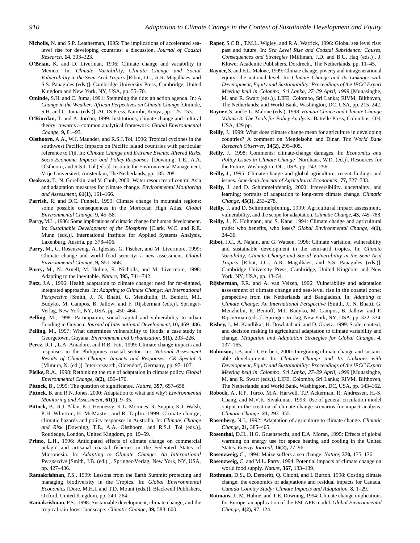- **Nicholls,** N. and S.P. Leatherman, 1995: The implications of accelerated sealevel rise for developing countries: a discussion. *Journal of Coastal Research*, **14,** 303–323.
- **O'Brian,** K. and D. Liverman, 1996: Climate change and variability in Mexico. In: *Climate Variability*, *Climate Change and Social Vulnerability in the Semi-Arid Tropics* [Ribot, J.C., A.R. Magalhães, and S.S. Panagides (eds.)]. Cambridge University Press, Cambridge, United Kingdom and New York, NY, USA, pp. 55–70.
- **Ominde,** S.H. and C. Juma, 1991: Stemming the tide: an action agenda. In: *A Change in the Weather: African Perpectives on Climate Change* [Ominde, S.H. and C. Juma (eds.)]. ACTS Press, Nairobi, Kenya, pp. 125–153.
- **O'Riordan,** T. and A. Jordan, 1999: Institutions, climate change and cultural theory: towards a common analytical framework. *Global Environmental Change*, **9,** 81–93.
- **Olsthoorn,** A.A., W.J. Maunder, and R.S.J. Tol, 1996: Tropical cyclones in the southwest Pacific: Impacts on Pacific island countries with particular reference to Fiji. In: *Climate Change and Extreme Events: Altered Risks*, *Socio-Economic Impacts and Policy Responses* [Downing, T.E., A . A . Olsthoorn, and R.S.J. Tol (eds.)]. Institute for Environmental Management, Vrije Universiteit, Amsterdam, The Netherlands, pp. 185–208.
- **Osokova,** T., N. Gorelkin, and V. Chub, 2000: Water resources of central Asia and adaptation measures for climate change. *Environmental Monitoring and Assessment*, **61(1),** 161–166.
- Parrish, R. and D.C. Funnell, 1999: Climate change in mountain regions: some possible consequences in the Moroccan High Atlas. *Global Environmental Change*, **9,** 45–58.
- Parry, M.L., 1986: Some implications of climatic change for human development. In: *Sustainable Development of the Biosphere* [Clark, W.C. and R.E. Munn (eds.)]. International Institute for Applied Systems Analysis, Laxenburg, Austria, pp. 378–406.
- **Parry,** M., C. Rosenzweig, A. Iglesias, G. Fischer, and M. Livermore, 1999: Climate change and world food security: a new assessment. *Global Environmental Change*, **9,** S51–S68.
- **Parry,** M., N. Arnell, M. Hulme, R. Nicholls, and M. Livermore, 1998: Adapting to the inevitable. *Nature*, **395,** 741–742.
- Patz, J.A., 1996: Health adaptation to climate change: need for far-sighted, integrated approaches. In: *Adapting to Climate Change: An International Perspective* [Smith, J., N. Bhatti, G. Menzhulin, R. Benioff, M.I. Budyko, M. Campos, B. Jallow, and F. Rijsberman (eds.)]. Springer-Verlag, New York, NY, USA, pp. 450–464.
- **Pelling,** M., 1998: Participation, social capital and vulnerability to urban flooding in Guyana. *Journal of International Development*, **10,** 469–486.
- **Pelling,** M., 1997: What determines vulnerability to floods; a case study in Georgetown, Guyana. *Environment and Urbanization*, **9(1),** 203–226.
- **Perez,** R.T., L.A. Amadore, and R.B. Feir, 1999: Climate change impacts and responses in the Philippines coastal sector. In: *National Assessment Results of Climate Change: Impacts and Responses: CR Special 6* [Mimura, N. (ed.)]. Inter-research, Oldendorf, Germany, pp. 97–107.
- **Pielke,** R.A., 1998: Rethinking the role of adaptation in climate policy. *Global Environmental Change*, **8(2),** 159–170.
- **Pittock,** B., 1999: The question of significance. *Nature*, **397,** 657–658.
- **Pittock,** B. and R.N. Jones, 2000: Adaptation to what and why? *Environmental Monitoring and Assessment*, **61(1),** 9–35.
- **Pittock,** B., R.J. Allan, K.J. Hennessy, K.L. McInnes, R. Suppia, K.J. Walsh, P.H. Whetton, H. McMaster, and R. Taplin, 1999: Climate change, climatic hazards and policy responses in Australia. In: *Climate, Change and Risk* [Downing, T.E., A.A. Olsthoorn, and R.S.J. Tol (eds.)]. Routledge, London, United Kingdom, pp. 19–59.
- **Primo,** L.H., 1996: Anticipated effects of climate change on commercial pelagic and artisanal coastal fisheries in the Federated States of Micronesia. In: *Adapting to Climate Change: An International Perspective* [Smith, J.B. (ed.).]. Springer-Verlag, New York, NY, USA, pp. 427–436.
- **Ramakrishnan,** P.S., 1999: Lessons from the Earth Summit: protecting and managing biodiversity in the Tropics. In: *Global Environmental Economics* [Dore, M.H.I. and T.D. Mount (eds.)]. Blackwell Publishers, Oxford, United Kingdom, pp. 240–264.
- **Ramakrishnan,** P.S., 1998: Sustainable development, climate change, and the tropical rain forest landscape. *Climatic Change*, **39,** 583–600.
- **Raper,** S.C.B., T.M.L. Wigley, and R.A. Warrick, 1996: Global sea level rise: past and future. In: *Sea Level Rise and Coastal Subsidence: Causes, Consequences and Strategies* [Milliman, J.D. and B.U. Haq (eds.)]. J. Kluwer Academic Publishers, Dordrecht, The Netherlands, pp. 11–45.
- **Rayner, S.** and E.L. Malone, 1999: Climate change, poverty and intragenerational equity: the national level. In: *Climate Change and Its Linkages with Development, Equity and Sustainability: Proceedings of the IPCC Expert Meeting held in Colombo, Sri Lanka, 27–29 April, 1999* [Munasinghe, M. and R. Swart (eds.)]. LIFE, Colombo, Sri Lanka; RIVM, Bilthoven, The Netherlands; and World Bank, Washington, DC, USA, pp. 215–242.
- **Rayner,** S. and E.L. Malone (eds.), 1998: *Human Choice and Climate Change Volume 3: The Tools for Policy Analysis*. Battelle Press, Columbus, OH, USA, 429 pp.
- **Reilly**, J., 1999: What does climate change mean for agriculture in developing countries? A comment on Mendelsohn and Dinar. *The World Bank Research Observer*, **14(2),** 295–305.
- **Reilly,** J., 1998: Comments: climate-change damages. In: *Economics and Policy Issues in Climate Change* [Nordhaus, W.D. (ed.)]. Resources for the Future, Washington, DC, USA, pp. 243–256.
- **Reilly,** J., 1995: Climate change and global agriculture: recent findings and issues. *American Journal of Agricultural Economics*, **77,** 727–733.
- **Reilly,** J. and D. Schimmelpfennig, 2000: Irreversibility, uncertainty, and learning: portraits of adaptation to long-term climate change. *Climatic Change*, **45(1),** 253–278.
- Reilly, J. and D. Schimmelpfennig, 1999: Agricultural impact assessment, vulnerability, and the scope for adaptation. *Climatic Change*, **43**, 745-788.
- **Reilly,** J., N. Hohmann, and S. Kane, 1994: Climate change and agricultural trade: who benefits, who loses? *Global Environmental Change,* **4(1),** 24–36.
- **Ribot,** J.C., A. Najam, and G. Watson, 1996: Climate variation, vulnerability and sustainable development in the semi-arid tropics. In: *Climate Variability, Climate Change and Social Vulnerability in the Semi-Arid Tropics* [Ribot, J.C., A.R. Magalhães, and S.S. Panagides (eds.)]. Cambridge University Press, Cambridge, United Kingdom and New York, NY, USA, pp. 13–54.
- **Rijsberman,** F.R. and A. van Velzen, 1996: Vulnerability and adaptation assessment of climate change and sea-level rise in the coastal zone: perspective from the Netherlands and Bangladesh. In: *Adapting to Climate Change: An International Perspective* [Smith, J., N. Bhatti, G. Menzhulin, R. Benioff, M.I. Budyko, M. Campos, B. Jallow, and F. Rijsberman (eds.)]. Springer-Verlag, New York, NY, USA, pp. 322–334.
- **Risbey,** J., M. Kandlikar, H. Dowlatabadi, and D. Graetz, 1999: Scale, context, and decision making in agricultural adaptation to climate variability and change. *Mitigation and Adaptation Strategies for Global Change*, **4,** 137–165.
- **Robinson,** J.B. and D. Herbert, 2000: Integrating climate change and sustainable development. In: *Climate Change and Its Linkages with Development, Equity and Sustainability: Proceedings of the IPCC Expert Meeting held in Colombo, Sri Lanka, 27–29 April, 1999* [Munasinghe, M. and R. Swart (eds.)]. LIFE, Colombo, Sri Lanka; RIVM, Bilthoven, The Netherlands; and World Bank, Washington, DC, USA, pp. 143–162.
- **Robock,** A., R.P. Turco, M.A. Harwell, T.P. Ackerman, R. Andressen, H.-S. Chang, and M.V.K. Sivakumar, 1993: Use of general circulation model output in the creation of climate change scenarios for impact analysis. *Climatic Change*, **23,** 293–355.
- **Rosenberg,** N.J., 1992: Adaptation of agriculture to climate change. *Climatic Change*, **21,** 385–405.
- **Rosenthal,** D.H., H.G. Gruenspecht, and E.A. Moran, 1995: Effects of global warming on energy use for space heating and cooling in the United States. *Energy Journal*, **16(2),** 77–96.
- **Rosenzweig,** C., 1994: Maize suffers a sea change. *Nature*, **370,** 175–176.
- **Rosenzweig,** C. and M.L. Parry, 1994: Potential impacts of climate change on world food supply. *Nature*, **367,** 133–139.
- **Rothman,** D.S., D. Demeritt, Q. Chiotti, and I. Burton, 1998: Costing climate change: the economics of adaptations and residual impacts for Canada. *Canada Country Study: Climate Impacts and Adaptation*, **8,** 1–29.
- **Rotmans, J., M. Hulme, and T.E. Downing, 1994: Climate change implications** for Europe: an application of the ESCAPE model. *Global Environmental Change*, **4(2),** 97–124.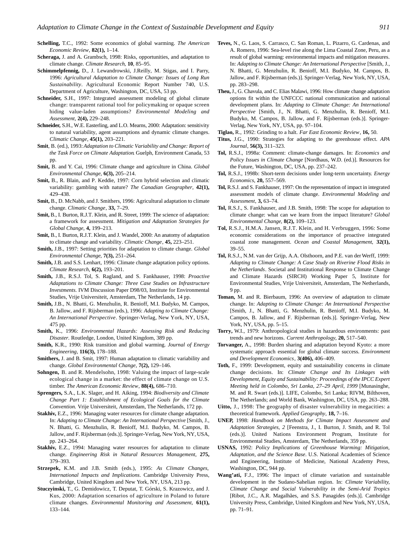- **Schelling,** T.C., 1992: Some economics of global warming. *The American Economic Review*, **82(1),** 1–14.
- **Scheraga,** J. and A. Grambsch, 1998: Risks, opportunities, and adaptation to climate change. *Climate Research*, **10**, 85–95.
- **Schimmelpfennig,** D., J. Lewandrowski, J.Reilly, M. Stigas, and I. Parry, 1996: *Agricultural Adaptation to Climate Change: Issues of Long Run Sustainability*. Agricultural Economic Report Number 740, U.S. Department of Agriculture, Washington, DC, USA, 53 pp.
- **Schneider,** S.H., 1997: Integrated assessment modeling of global climate change: transparent rational tool for policymaking or opaque screen hiding value-laden assumptions? *Environmental Modeling and Assessment,* **2(4),** 229–248.
- Schneider, S.H., W.E. Easterling, and L.O. Mearns, 2000: Adaptation: sensitivity to natural variability, agent assumptions and dynamic climate changes. *Climatic Change*, **45(1),** 203–221.
- **Smit**, B. (ed.), 1993: *Adaptation to Climatic Variability and Change: Report of the Task Force on Climate Adaptation*. Guelph, Environment Canada, 53 pp.
- **Smit,** B. and Y. Cai, 1996: Climate change and agriculture in China. *Global Environmental Change*, **6(3),** 205–214.
- **Smit,** B., R. Blain, and P. Keddie, 1997: Corn hybrid selection and climatic variability: gambling with nature? *The Canadian Geographer*, **42(1),** 429–438.
- **Smit,** B., D. McNabb, and J. Smithers, 1996: Agricultural adaptation to climate change. *Climatic Change*, **33,** 7–29.
- Smit, B., I. Burton, R.J.T. Klein, and R. Street, 1999: The science of adaptation: a framework for assessment. *Mitigation and Adaptation Strategies for Global Change*, **4,** 199–213.
- **Smit, B., I. Burton, R.J.T. Klein, and J. Wandel, 2000: An anatomy of adaptation** to climate change and variability. *Climatic Change*, **45,** 223–251.
- **Smith,** J.B., 1997: Setting priorities for adaptation to climate change. *Global Environmental Change*, **7(3),** 251–264.
- **Smith,** J.B. and S.S. Lenhart, 1996: Climate change adaptation policy options. *Climate Research*, **6(2),** 193–201.
- **Smith,** J.B., R.S.J. Tol, S. Ragland, and S. Fankhauser, 1998: *Proactive Adaptations to Climate Change: Three Case Studies on Infrastructure Investments*. IVM Discussion Paper D98/03, Institute for Environmental Studies, Vrije Universiteit, Amsterdam, The Netherlands, 14 pp.
- **Smith,** J.B., N. Bhatti, G. Menzhulin, R. Benioff, M.I. Budyko, M. Campos, B. Jallow, and F. Rijsberman (eds.), 1996: *Adapting to Climate Change: An International Perspective*. Springer- Verlag, New York, NY, USA, 475 pp.
- **Smith,** K., 1996: *Environmental Hazards: Assessing Risk and Reducing Disaster*. Routledge, London, United Kingdom, 389 pp.
- **Smith,** K.R., 1990: Risk transition and global warming. *Journal of Energy Engineering*, **116(3),** 178–188.
- **Smithers,** J. and B. Smit, 1997: Human adaptation to climatic variability and change. *Global Environmental Change*, **7(2),** 129–146.
- Sohngen, B. and R. Mendelsohn, 1998: Valuing the impact of large-scale ecological change in a market: the effect of climate change on U.S. timber. *The American Economic Review*, 88(4), 686-710.
- **Sprengers,** S.A., L.K. Slager, and H. Aiking, 1994: *Biodiversity and Climate Change Part 1: Establishment of Ecological Goals for the Climate Convention.* Vrije Universiteit, Amsterdam, The Netherlands, 172 pp.
- **Stakhiv,** E.Z., 1996: Managing water resources for climate change adaptation. In: *Adapting to Climate Change: An International Perspective* [Smith, J., N. Bhatti, G. Menzhulin, R. Benioff, M.I. Budyko, M. Campos, B. Jallow, and F. Rijsberman (eds.)]. Springer-Verlag, New York, NY, USA, pp. 243–264.
- **Stakhiv,** E.Z., 1994: Managing water resources for adaptation to climate change. *Engineering Risk in Natural Resources Management*, **275,** 379–393.
- Strzepek, K.M. and J.B. Smith (eds.), 1995: As Climate Changes, *International Impacts and Implications*. Cambridge University Press, Cambridge, United Kingdom and New York, NY, USA, 213 pp.
- **Stuczyinski,** T., G. Demidowicz, T. Deputat, T. Górski, S. Krazowicz, and J. Kus, 2000: Adaptation scenarios of agriculture in Poland to future climate changes. *Environmental Monitoring and Assessment*, 61(1), 133–144.
- **Teves,** N., G. Laos, S. Carrasco, C. San Roman, L. Pizarro, G. Cardenas, and A. Romero, 1996: Sea-level rise along the Lima Coastal Zone, Peru, as a result of global warming: environmental impacts and mitigation measures. In: *Adapting to Climate Change: An International Perspective* [Smith, J., N. Bhatti, G. Menzhulin, R. Benioff, M.I. Budyko, M. Campos, B. Jallow, and F. Rijsberman (eds.)]. Springer-Verlag, New York, NY, USA, pp. 283–298.
- Theu, J., G. Chavula, and C. Elias Malawi, 1996: How climate change adaptation options fit within the UNFCCC national communication and national development plans. In: *Adapting to Climate Change: An International Perspective* [Smith, J., N. Bhatti, G. Menzhulin, R. Benioff, M.I. Budyko, M. Campos, B. Jallow, and F. Rijsberman (eds.)]. Springer-Verlag, New York, NY, USA, pp. 97–104.
- **Tiglao,** R., 1992: Grinding to a halt. *Far East Economic Review*, **16,** 50.
- **Titus,** J.G., 1990: Strategies for adapting to the greenhouse effect. *APA Journal*, **56(3),** 311–323.
- **Tol,** R.S.J., 1998a: Comment: climate-change damages. In: *Economics and Policy Issues in Climate Change* [Nordhaus, W.D. (ed.)]. Resources for the Future, Washington, DC, USA, pp. 237–242.
- **Tol,** R.S.J., 1998b: Short-term decisions under long-term uncertainty. *Energy Economics*, **20,** 557–569.
- Tol, R.S.J. and S. Fankhauser, 1997: On the representation of impact in integrated assessment models of climate change. *Environmental Modeling and Assessment*, **3,** 63–74.
- **Tol,** R.S.J., S. Fankhauser, and J.B. Smith, 1998: The scope for adaptation to climate change: what can we learn from the impact literature? *Global Environmental Change*, **8(2),** 109–123.
- **Tol,** R.S.J., H.M.A. Jansen, R.J.T. Klein, and H. Verbruggen, 1996: Some economic considerations on the importance of proactive integrated coastal zone management. *Ocean and Coastal Management*, **32(1),** 39–55.
- **Tol,** R.S.J., N.M. van der Grijp, A.A. Olsthoorn, and P.E. van der Werff, 1999: *Adapting to Climate Change: A Case Study on Riverine Flood Risks in the Netherlands*. Societal and Institutional Response to Climate Change and Climate Hazards (SIRCH) Working Paper 5, Institute for Environmental Studies, Vrije Universiteit, Amsterdam, The Netherlands, 9 pp.
- **Toman,** M. and R. Bierbaum, 1996: An overview of adaptation to climate change. In: *Adapting to Climate Change: An International Perspective* [Smith, J., N. Bhatti, G. Menzhulin, R. Benioff, M.I. Budyko, M. Campos, B. Jallow, and F. Rijsberman (eds.)]. Springer-Verlag, New York, NY, USA, pp. 5–15.
- **Torry,** W.I., 1979: Anthropological studies in hazardous environments: past trends and new horizons. *Current Anthropology*, **20,** 517–540.
- **Torvanger,** A., 1998: Burden sharing and adaptation beyond Kyoto: a more systematic approach essential for global climate success. *Environment and Development Economics*, **3(406),** 406–409.
- **Toth,** F., 1999: Development, equity and sustainability concerns in climate change decisions. In: *Climate Change and Its Linkages with Development, Equity and Sustainability: Proceedings of the IPCC Expert Meeting held in Colombo, Sri Lanka, 27–29 April, 1999* [Munasinghe, M. and R. Swart (eds.)]. LIFE, Colombo, Sri Lanka; RIVM, Bilthoven, The Netherlands; and World Bank, Washington, DC, USA, pp. 263–288.
- Uitto, J., 1998: The geography of disaster vulnerability in megacities: a theoretical framework. *Applied Geography*, 18, 7-16.
- **UNEP,** 1998: *Handbook on Methods for Climate Impact Assessment and Adaptation Strategies, 2* [Feenstra, J., I. Burton, J. Smith, and R. Tol (eds.)]. United Nations Environment Program, Institute for Environmental Studies, Amsterdam, The Netherlands, 359 pp.
- **USNAS,** 1992: *Policy Implications of Greenhouse Warming: Mitigation, Adaptation, and the Science Base*. U.S. National Academies of Science and Engineering, Institute of Medicine, National Academy Press, Washington, DC, 944 pp.
- Wang'ati, F.J., 1996: The impact of climate variation and sustainable development in the Sudano-Sahelian region. In: *Climate Variability*, *Climate Change and Social Vulnerability in the Semi-Arid Tropics* [Ribot, J.C., A.R. Magalhães, and S.S. Panagides (eds.)]. Cambridge University Press, Cambridge, United Kingdom and New York, NY, USA, pp. 71–91.